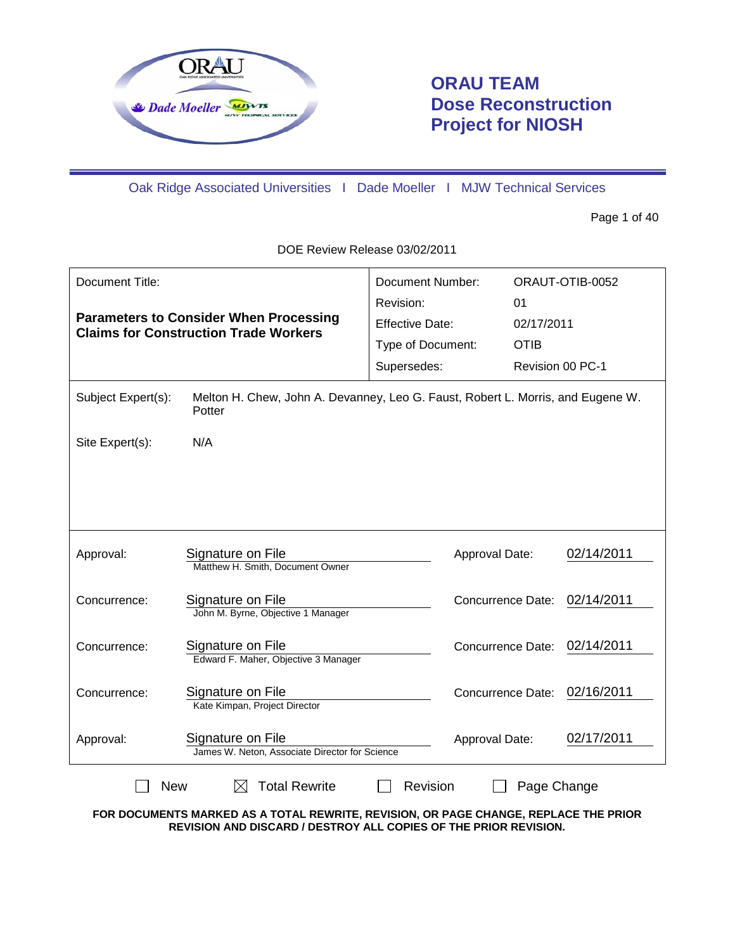

# **ORAU TEAM Dose Reconstruction Project for NIOSH**

Oak Ridge Associated Universities I Dade Moeller I MJW Technical Services

Page 1 of 40

DOE Review Release 03/02/2011

| Document Title:<br><b>Parameters to Consider When Processing</b><br><b>Claims for Construction Trade Workers</b> |                                                                                           | Document Number:<br>Revision:<br><b>Effective Date:</b><br>Type of Document:<br>Supersedes: | 01<br><b>OTIB</b>        | ORAUT-OTIB-0052<br>02/17/2011<br>Revision 00 PC-1 |  |
|------------------------------------------------------------------------------------------------------------------|-------------------------------------------------------------------------------------------|---------------------------------------------------------------------------------------------|--------------------------|---------------------------------------------------|--|
| Subject Expert(s):                                                                                               | Melton H. Chew, John A. Devanney, Leo G. Faust, Robert L. Morris, and Eugene W.<br>Potter |                                                                                             |                          |                                                   |  |
| Site Expert(s):                                                                                                  | N/A                                                                                       |                                                                                             |                          |                                                   |  |
|                                                                                                                  |                                                                                           |                                                                                             |                          |                                                   |  |
| Approval:                                                                                                        | Signature on File<br>Matthew H. Smith, Document Owner                                     |                                                                                             | Approval Date:           | 02/14/2011                                        |  |
| Concurrence:                                                                                                     | Signature on File<br>John M. Byrne, Objective 1 Manager                                   |                                                                                             | <b>Concurrence Date:</b> | 02/14/2011                                        |  |
| Concurrence:                                                                                                     | Signature on File<br>Edward F. Maher, Objective 3 Manager                                 |                                                                                             | Concurrence Date:        | 02/14/2011                                        |  |
| Concurrence:                                                                                                     | Signature on File<br>Kate Kimpan, Project Director                                        |                                                                                             | Concurrence Date:        | 02/16/2011                                        |  |
| Approval:                                                                                                        | Signature on File<br>James W. Neton, Associate Director for Science                       |                                                                                             | Approval Date:           | 02/17/2011                                        |  |
| <b>Total Rewrite</b><br><b>New</b><br>Revision<br>Page Change<br>IХI                                             |                                                                                           |                                                                                             |                          |                                                   |  |

**FOR DOCUMENTS MARKED AS A TOTAL REWRITE, REVISION, OR PAGE CHANGE, REPLACE THE PRIOR REVISION AND DISCARD / DESTROY ALL COPIES OF THE PRIOR REVISION.**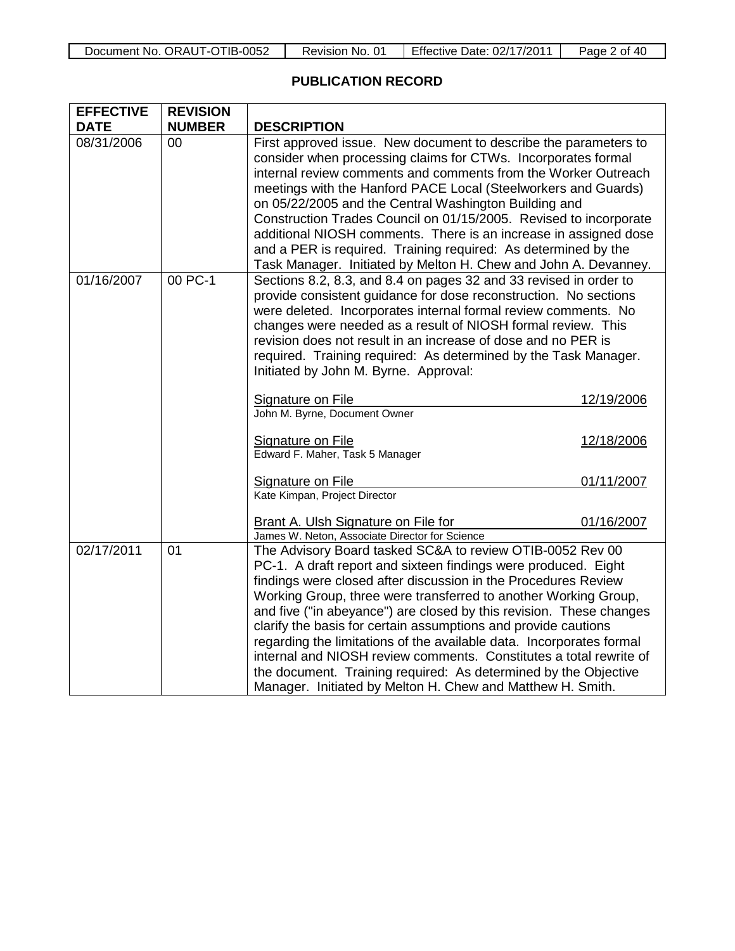# **PUBLICATION RECORD**

| <b>EFFECTIVE</b> | <b>REVISION</b> |                                                                                                                                                                                                                                                                                                                                                                                                                                                                                                                                                                                                                                                                                          |            |  |  |
|------------------|-----------------|------------------------------------------------------------------------------------------------------------------------------------------------------------------------------------------------------------------------------------------------------------------------------------------------------------------------------------------------------------------------------------------------------------------------------------------------------------------------------------------------------------------------------------------------------------------------------------------------------------------------------------------------------------------------------------------|------------|--|--|
| <b>DATE</b>      | <b>NUMBER</b>   | <b>DESCRIPTION</b>                                                                                                                                                                                                                                                                                                                                                                                                                                                                                                                                                                                                                                                                       |            |  |  |
| 08/31/2006       | 00              | First approved issue. New document to describe the parameters to<br>consider when processing claims for CTWs. Incorporates formal<br>internal review comments and comments from the Worker Outreach<br>meetings with the Hanford PACE Local (Steelworkers and Guards)<br>on 05/22/2005 and the Central Washington Building and<br>Construction Trades Council on 01/15/2005. Revised to incorporate<br>additional NIOSH comments. There is an increase in assigned dose<br>and a PER is required. Training required: As determined by the<br>Task Manager. Initiated by Melton H. Chew and John A. Devanney.                                                                             |            |  |  |
| 01/16/2007       | 00 PC-1         | Sections 8.2, 8.3, and 8.4 on pages 32 and 33 revised in order to<br>provide consistent guidance for dose reconstruction. No sections<br>were deleted. Incorporates internal formal review comments. No<br>changes were needed as a result of NIOSH formal review. This<br>revision does not result in an increase of dose and no PER is<br>required. Training required: As determined by the Task Manager.<br>Initiated by John M. Byrne. Approval:                                                                                                                                                                                                                                     |            |  |  |
|                  |                 | Signature on File<br>12/19/2006                                                                                                                                                                                                                                                                                                                                                                                                                                                                                                                                                                                                                                                          |            |  |  |
|                  |                 | John M. Byrne, Document Owner                                                                                                                                                                                                                                                                                                                                                                                                                                                                                                                                                                                                                                                            |            |  |  |
|                  |                 | Signature on File<br>Edward F. Maher, Task 5 Manager                                                                                                                                                                                                                                                                                                                                                                                                                                                                                                                                                                                                                                     | 12/18/2006 |  |  |
|                  |                 | Signature on File                                                                                                                                                                                                                                                                                                                                                                                                                                                                                                                                                                                                                                                                        | 01/11/2007 |  |  |
|                  |                 | Kate Kimpan, Project Director                                                                                                                                                                                                                                                                                                                                                                                                                                                                                                                                                                                                                                                            |            |  |  |
|                  |                 | Brant A. Ulsh Signature on File for                                                                                                                                                                                                                                                                                                                                                                                                                                                                                                                                                                                                                                                      | 01/16/2007 |  |  |
|                  |                 | James W. Neton, Associate Director for Science                                                                                                                                                                                                                                                                                                                                                                                                                                                                                                                                                                                                                                           |            |  |  |
| 02/17/2011       | 01              | The Advisory Board tasked SC&A to review OTIB-0052 Rev 00<br>PC-1. A draft report and sixteen findings were produced. Eight<br>findings were closed after discussion in the Procedures Review<br>Working Group, three were transferred to another Working Group,<br>and five ("in abeyance") are closed by this revision. These changes<br>clarify the basis for certain assumptions and provide cautions<br>regarding the limitations of the available data. Incorporates formal<br>internal and NIOSH review comments. Constitutes a total rewrite of<br>the document. Training required: As determined by the Objective<br>Manager. Initiated by Melton H. Chew and Matthew H. Smith. |            |  |  |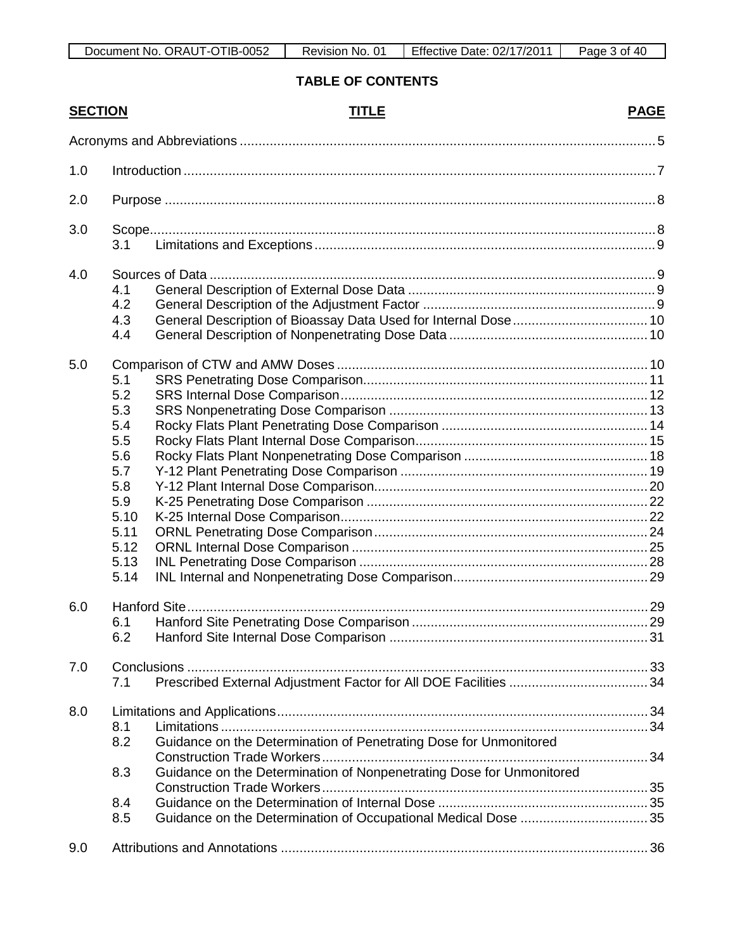# **TABLE OF CONTENTS**

| <b>SECTION</b> |      | <b>TITLE</b>                                                         | <b>PAGE</b> |
|----------------|------|----------------------------------------------------------------------|-------------|
|                |      |                                                                      |             |
| 1.0            |      |                                                                      |             |
| 2.0            |      |                                                                      |             |
| 3.0            |      |                                                                      |             |
|                | 3.1  |                                                                      |             |
| 4.0            |      |                                                                      |             |
|                | 4.1  |                                                                      |             |
|                | 4.2  |                                                                      |             |
|                | 4.3  |                                                                      |             |
|                | 4.4  |                                                                      |             |
| 5.0            |      |                                                                      |             |
|                | 5.1  |                                                                      |             |
|                | 5.2  |                                                                      |             |
|                | 5.3  |                                                                      |             |
|                | 5.4  |                                                                      |             |
|                | 5.5  |                                                                      |             |
|                | 5.6  |                                                                      |             |
|                | 5.7  |                                                                      |             |
|                | 5.8  |                                                                      |             |
|                | 5.9  |                                                                      |             |
|                | 5.10 |                                                                      |             |
|                | 5.11 |                                                                      |             |
|                | 5.12 |                                                                      |             |
|                | 5.13 |                                                                      |             |
|                | 5.14 |                                                                      |             |
| 6.0            |      |                                                                      |             |
|                | 6.1  |                                                                      |             |
|                | 6.2. |                                                                      |             |
| 7.0            |      |                                                                      |             |
|                | 7.1  |                                                                      |             |
| 8.0            |      |                                                                      |             |
|                | 8.1  |                                                                      |             |
|                | 8.2  | Guidance on the Determination of Penetrating Dose for Unmonitored    |             |
|                | 8.3  | Guidance on the Determination of Nonpenetrating Dose for Unmonitored |             |
|                |      |                                                                      |             |
|                | 8.4  |                                                                      |             |
|                | 8.5  | Guidance on the Determination of Occupational Medical Dose  35       |             |
| 9.0            |      |                                                                      |             |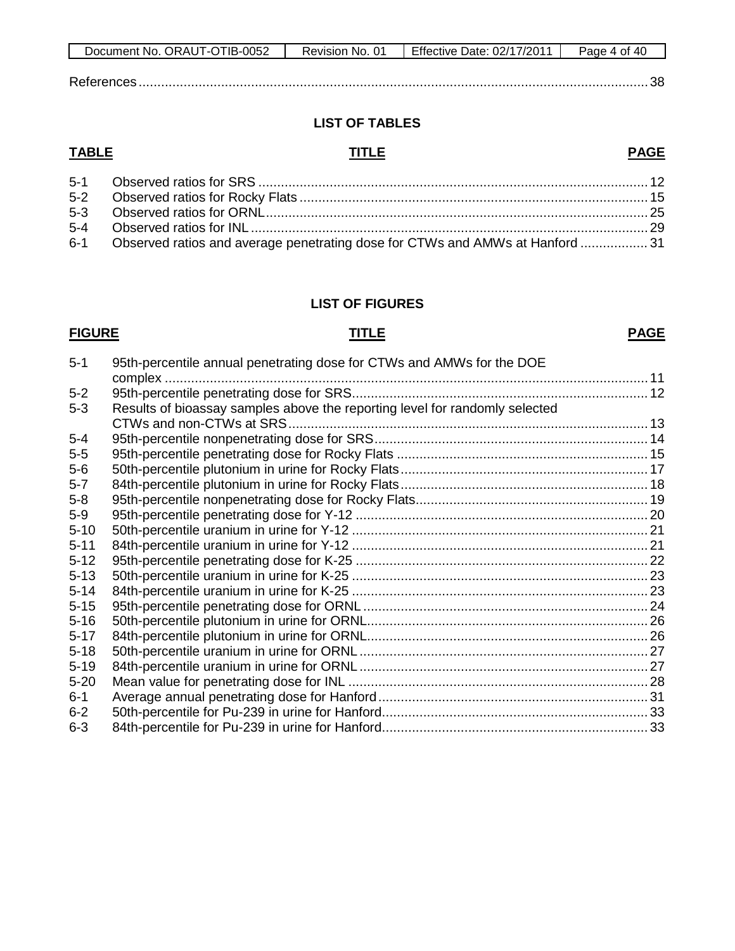| Document No. ORAUT-OTIB-0052 | Revision No. 01 | Effective Date: 02/17/2011 | Page 4 of 40 |
|------------------------------|-----------------|----------------------------|--------------|
|                              |                 |                            |              |
| References                   |                 |                            |              |

# **LIST OF TABLES**

# **TABLE TITLE**

# **PAGE**

| 6-1 Observed ratios and average penetrating dose for CTWs and AMWs at Hanford  31 |  |
|-----------------------------------------------------------------------------------|--|

### **LIST OF FIGURES**

# **FIGURE TITLE**

# **PAGE**

| $5 - 1$  | 95th-percentile annual penetrating dose for CTWs and AMWs for the DOE       |  |
|----------|-----------------------------------------------------------------------------|--|
|          | complex.                                                                    |  |
| $5-2$    |                                                                             |  |
| $5-3$    | Results of bioassay samples above the reporting level for randomly selected |  |
|          | CTWs and non-CTWs at SRS                                                    |  |
| $5 - 4$  |                                                                             |  |
| $5-5$    |                                                                             |  |
| $5-6$    |                                                                             |  |
| $5 - 7$  |                                                                             |  |
| $5-8$    |                                                                             |  |
| $5-9$    |                                                                             |  |
| $5 - 10$ |                                                                             |  |
| $5 - 11$ |                                                                             |  |
| $5 - 12$ |                                                                             |  |
| $5 - 13$ |                                                                             |  |
| $5 - 14$ |                                                                             |  |
| $5 - 15$ |                                                                             |  |
| $5 - 16$ |                                                                             |  |
| $5 - 17$ |                                                                             |  |
| $5 - 18$ |                                                                             |  |
| $5 - 19$ |                                                                             |  |
| $5 - 20$ |                                                                             |  |
| $6-1$    |                                                                             |  |
| $6 - 2$  |                                                                             |  |
| $6 - 3$  |                                                                             |  |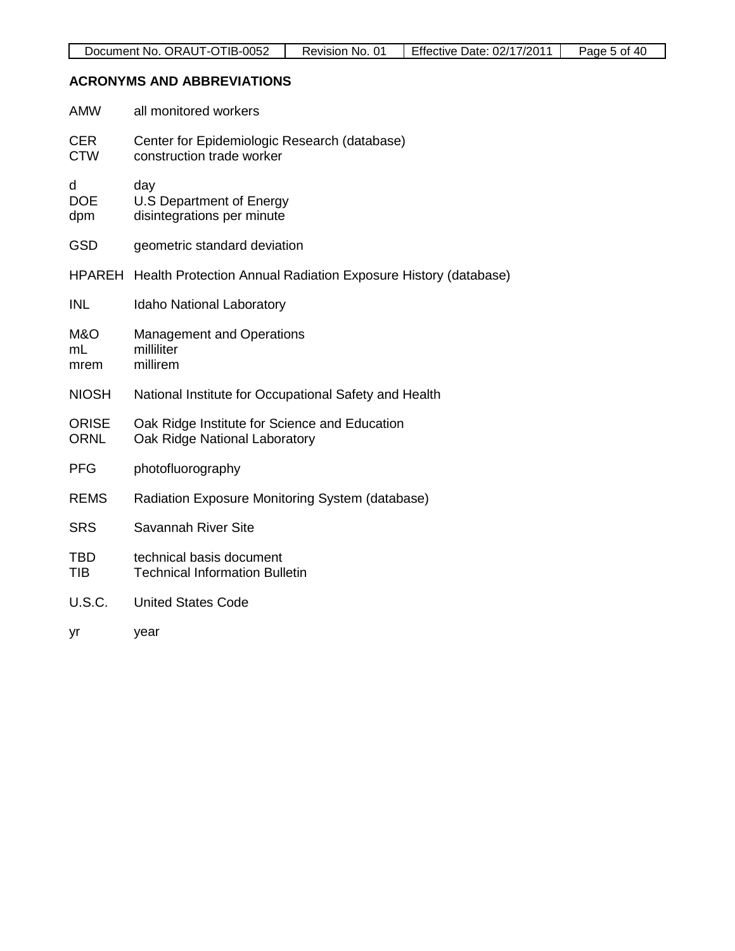# **ACRONYMS AND ABBREVIATIONS**

| <b>AMW</b>                  | all monitored workers                                                          |
|-----------------------------|--------------------------------------------------------------------------------|
| <b>CER</b><br><b>CTW</b>    | Center for Epidemiologic Research (database)<br>construction trade worker      |
| d<br><b>DOE</b><br>dpm      | day<br>U.S Department of Energy<br>disintegrations per minute                  |
| <b>GSD</b>                  | geometric standard deviation                                                   |
|                             | HPAREH Health Protection Annual Radiation Exposure History (database)          |
| <b>INL</b>                  | Idaho National Laboratory                                                      |
| M&O<br>mL<br>mrem           | <b>Management and Operations</b><br>milliliter<br>millirem                     |
| <b>NIOSH</b>                | National Institute for Occupational Safety and Health                          |
| <b>ORISE</b><br><b>ORNL</b> | Oak Ridge Institute for Science and Education<br>Oak Ridge National Laboratory |
| <b>PFG</b>                  | photofluorography                                                              |
| <b>REMS</b>                 | Radiation Exposure Monitoring System (database)                                |
| <b>SRS</b>                  | <b>Savannah River Site</b>                                                     |
| <b>TBD</b><br><b>TIB</b>    | technical basis document<br><b>Technical Information Bulletin</b>              |
| <b>U.S.C.</b>               | <b>United States Code</b>                                                      |
| yr                          | year                                                                           |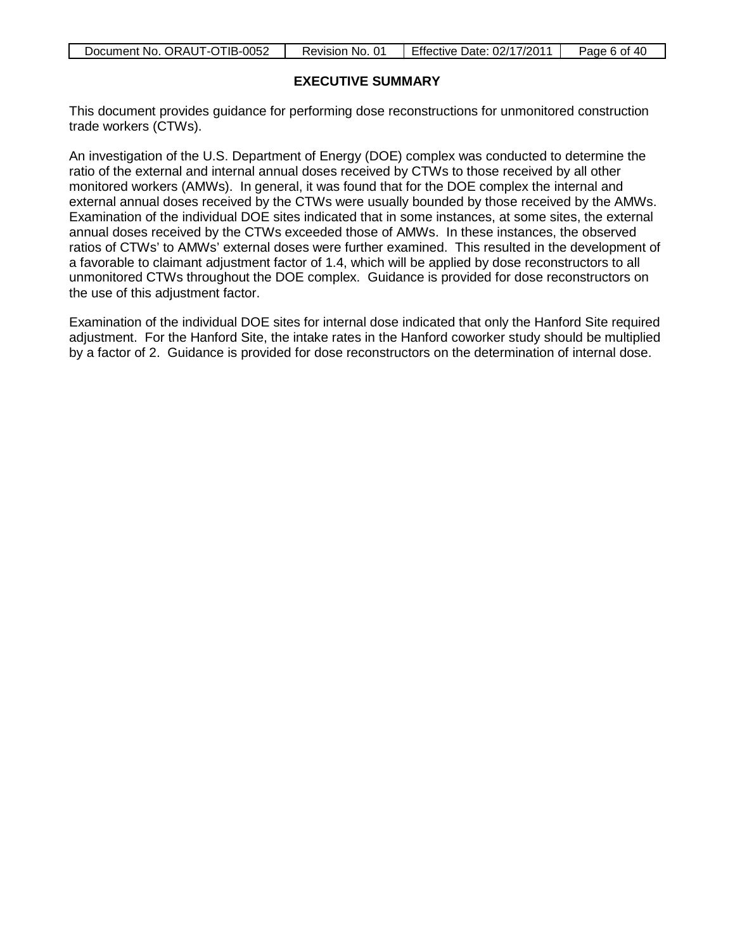| Document No. ORAUT-OTIB-0052 | Revision No. 01 | Effective Date: 02/17/2011 | Page 6 of 40 |
|------------------------------|-----------------|----------------------------|--------------|

# **EXECUTIVE SUMMARY**

This document provides guidance for performing dose reconstructions for unmonitored construction trade workers (CTWs).

An investigation of the U.S. Department of Energy (DOE) complex was conducted to determine the ratio of the external and internal annual doses received by CTWs to those received by all other monitored workers (AMWs). In general, it was found that for the DOE complex the internal and external annual doses received by the CTWs were usually bounded by those received by the AMWs. Examination of the individual DOE sites indicated that in some instances, at some sites, the external annual doses received by the CTWs exceeded those of AMWs. In these instances, the observed ratios of CTWs' to AMWs' external doses were further examined. This resulted in the development of a favorable to claimant adjustment factor of 1.4, which will be applied by dose reconstructors to all unmonitored CTWs throughout the DOE complex. Guidance is provided for dose reconstructors on the use of this adjustment factor.

Examination of the individual DOE sites for internal dose indicated that only the Hanford Site required adjustment. For the Hanford Site, the intake rates in the Hanford coworker study should be multiplied by a factor of 2. Guidance is provided for dose reconstructors on the determination of internal dose.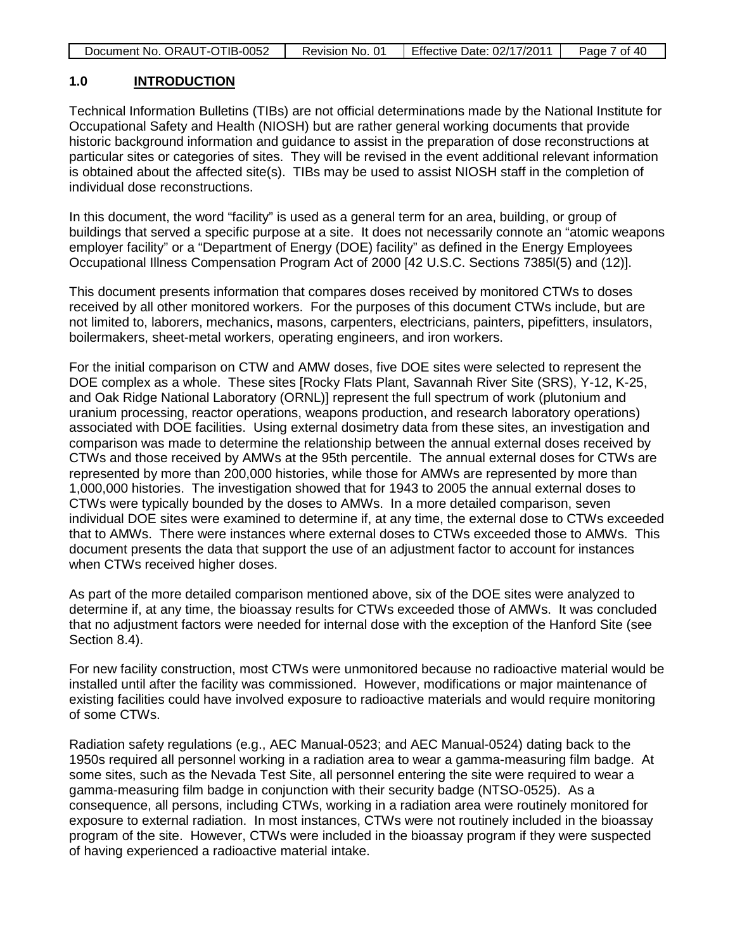| Document No. ORAUT-OTIB-0052 | Revision No. 01 | Effective Date: 02/17/2011 | Page 7 of 40 |
|------------------------------|-----------------|----------------------------|--------------|
|------------------------------|-----------------|----------------------------|--------------|

#### **1.0 INTRODUCTION**

Technical Information Bulletins (TIBs) are not official determinations made by the National Institute for Occupational Safety and Health (NIOSH) but are rather general working documents that provide historic background information and guidance to assist in the preparation of dose reconstructions at particular sites or categories of sites. They will be revised in the event additional relevant information is obtained about the affected site(s). TIBs may be used to assist NIOSH staff in the completion of individual dose reconstructions.

In this document, the word "facility" is used as a general term for an area, building, or group of buildings that served a specific purpose at a site. It does not necessarily connote an "atomic weapons employer facility" or a "Department of Energy (DOE) facility" as defined in the Energy Employees Occupational Illness Compensation Program Act of 2000 [42 U.S.C. Sections 7385l(5) and (12)].

This document presents information that compares doses received by monitored CTWs to doses received by all other monitored workers. For the purposes of this document CTWs include, but are not limited to, laborers, mechanics, masons, carpenters, electricians, painters, pipefitters, insulators, boilermakers, sheet-metal workers, operating engineers, and iron workers.

For the initial comparison on CTW and AMW doses, five DOE sites were selected to represent the DOE complex as a whole. These sites [Rocky Flats Plant, Savannah River Site (SRS), Y-12, K-25, and Oak Ridge National Laboratory (ORNL)] represent the full spectrum of work (plutonium and uranium processing, reactor operations, weapons production, and research laboratory operations) associated with DOE facilities. Using external dosimetry data from these sites, an investigation and comparison was made to determine the relationship between the annual external doses received by CTWs and those received by AMWs at the 95th percentile. The annual external doses for CTWs are represented by more than 200,000 histories, while those for AMWs are represented by more than 1,000,000 histories. The investigation showed that for 1943 to 2005 the annual external doses to CTWs were typically bounded by the doses to AMWs. In a more detailed comparison, seven individual DOE sites were examined to determine if, at any time, the external dose to CTWs exceeded that to AMWs. There were instances where external doses to CTWs exceeded those to AMWs. This document presents the data that support the use of an adjustment factor to account for instances when CTWs received higher doses.

As part of the more detailed comparison mentioned above, six of the DOE sites were analyzed to determine if, at any time, the bioassay results for CTWs exceeded those of AMWs. It was concluded that no adjustment factors were needed for internal dose with the exception of the Hanford Site (see Section 8.4).

For new facility construction, most CTWs were unmonitored because no radioactive material would be installed until after the facility was commissioned. However, modifications or major maintenance of existing facilities could have involved exposure to radioactive materials and would require monitoring of some CTWs.

Radiation safety regulations (e.g., AEC Manual-0523; and AEC Manual-0524) dating back to the 1950s required all personnel working in a radiation area to wear a gamma-measuring film badge. At some sites, such as the Nevada Test Site, all personnel entering the site were required to wear a gamma-measuring film badge in conjunction with their security badge (NTSO-0525). As a consequence, all persons, including CTWs, working in a radiation area were routinely monitored for exposure to external radiation. In most instances, CTWs were not routinely included in the bioassay program of the site. However, CTWs were included in the bioassay program if they were suspected of having experienced a radioactive material intake.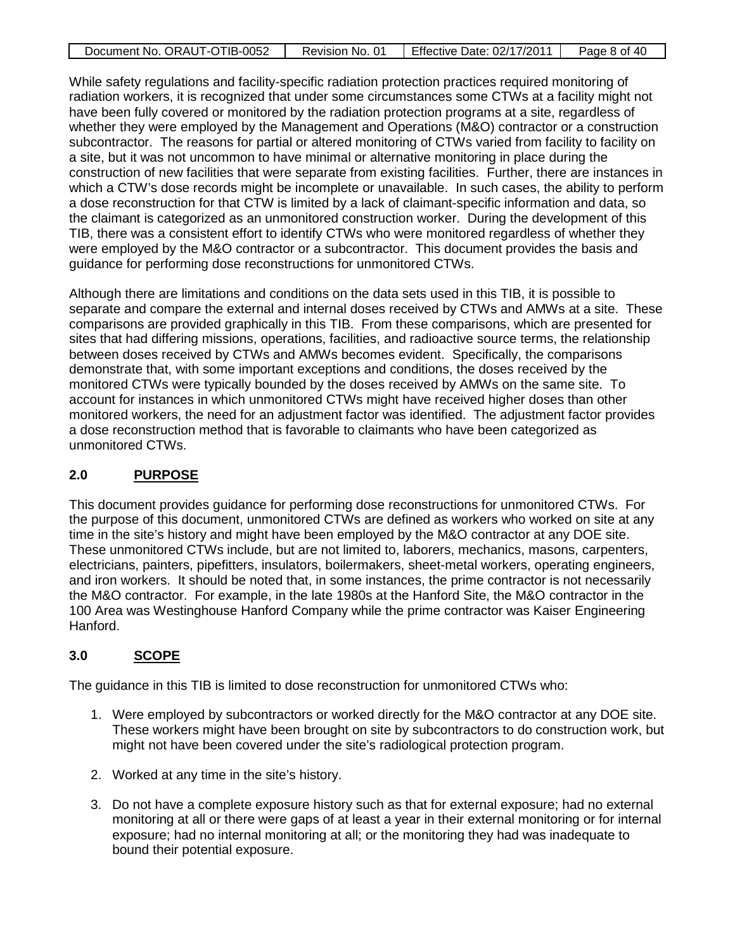| Document No. ORAUT-OTIB-0052 | Revision No. 01 | Effective Date: 02/17/2011 | Page 8 of 40 |
|------------------------------|-----------------|----------------------------|--------------|

While safety regulations and facility-specific radiation protection practices required monitoring of radiation workers, it is recognized that under some circumstances some CTWs at a facility might not have been fully covered or monitored by the radiation protection programs at a site, regardless of whether they were employed by the Management and Operations (M&O) contractor or a construction subcontractor. The reasons for partial or altered monitoring of CTWs varied from facility to facility on a site, but it was not uncommon to have minimal or alternative monitoring in place during the construction of new facilities that were separate from existing facilities. Further, there are instances in which a CTW's dose records might be incomplete or unavailable. In such cases, the ability to perform a dose reconstruction for that CTW is limited by a lack of claimant-specific information and data, so the claimant is categorized as an unmonitored construction worker. During the development of this TIB, there was a consistent effort to identify CTWs who were monitored regardless of whether they were employed by the M&O contractor or a subcontractor. This document provides the basis and guidance for performing dose reconstructions for unmonitored CTWs.

Although there are limitations and conditions on the data sets used in this TIB, it is possible to separate and compare the external and internal doses received by CTWs and AMWs at a site. These comparisons are provided graphically in this TIB. From these comparisons, which are presented for sites that had differing missions, operations, facilities, and radioactive source terms, the relationship between doses received by CTWs and AMWs becomes evident. Specifically, the comparisons demonstrate that, with some important exceptions and conditions, the doses received by the monitored CTWs were typically bounded by the doses received by AMWs on the same site. To account for instances in which unmonitored CTWs might have received higher doses than other monitored workers, the need for an adjustment factor was identified. The adjustment factor provides a dose reconstruction method that is favorable to claimants who have been categorized as unmonitored CTWs.

#### **2.0 PURPOSE**

This document provides guidance for performing dose reconstructions for unmonitored CTWs. For the purpose of this document, unmonitored CTWs are defined as workers who worked on site at any time in the site's history and might have been employed by the M&O contractor at any DOE site. These unmonitored CTWs include, but are not limited to, laborers, mechanics, masons, carpenters, electricians, painters, pipefitters, insulators, boilermakers, sheet-metal workers, operating engineers, and iron workers. It should be noted that, in some instances, the prime contractor is not necessarily the M&O contractor. For example, in the late 1980s at the Hanford Site, the M&O contractor in the 100 Area was Westinghouse Hanford Company while the prime contractor was Kaiser Engineering Hanford.

#### **3.0 SCOPE**

The guidance in this TIB is limited to dose reconstruction for unmonitored CTWs who:

- 1. Were employed by subcontractors or worked directly for the M&O contractor at any DOE site. These workers might have been brought on site by subcontractors to do construction work, but might not have been covered under the site's radiological protection program.
- 2. Worked at any time in the site's history.
- 3. Do not have a complete exposure history such as that for external exposure; had no external monitoring at all or there were gaps of at least a year in their external monitoring or for internal exposure; had no internal monitoring at all; or the monitoring they had was inadequate to bound their potential exposure.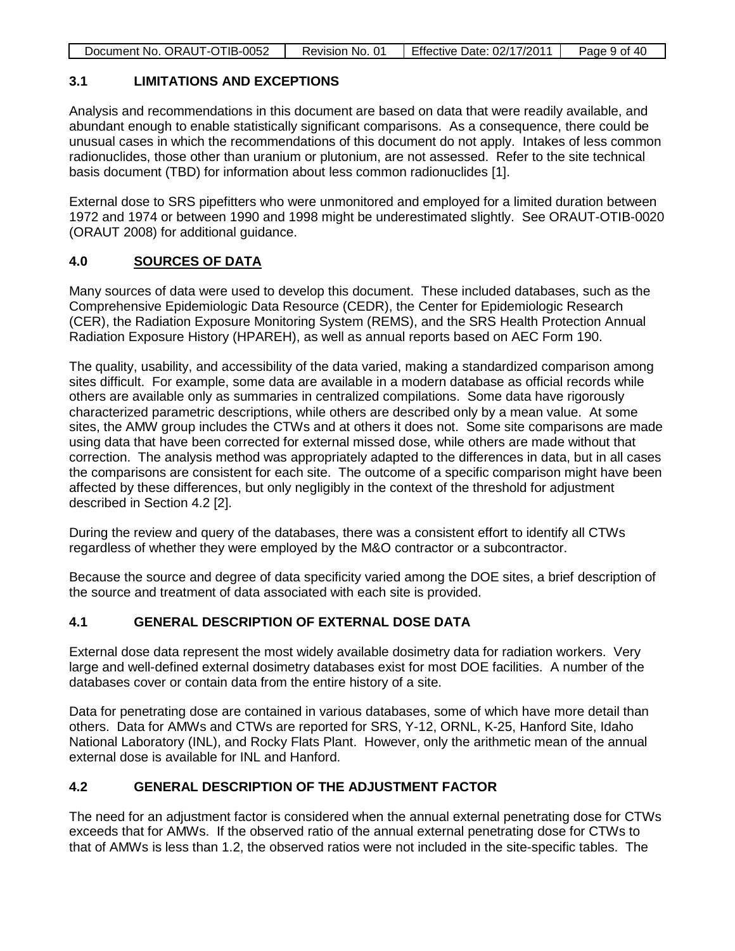| Document No. ORAUT-OTIB-0052 | Revision No. 01 | Effective Date: 02/17/2011 | Page 9 of 40 |
|------------------------------|-----------------|----------------------------|--------------|
|                              |                 |                            |              |

### **3.1 LIMITATIONS AND EXCEPTIONS**

Analysis and recommendations in this document are based on data that were readily available, and abundant enough to enable statistically significant comparisons. As a consequence, there could be unusual cases in which the recommendations of this document do not apply. Intakes of less common radionuclides, those other than uranium or plutonium, are not assessed. Refer to the site technical basis document (TBD) for information about less common radionuclides [1].

External dose to SRS pipefitters who were unmonitored and employed for a limited duration between 1972 and 1974 or between 1990 and 1998 might be underestimated slightly. See ORAUT-OTIB-0020 (ORAUT 2008) for additional guidance.

#### **4.0 SOURCES OF DATA**

Many sources of data were used to develop this document. These included databases, such as the Comprehensive Epidemiologic Data Resource (CEDR), the Center for Epidemiologic Research (CER), the Radiation Exposure Monitoring System (REMS), and the SRS Health Protection Annual Radiation Exposure History (HPAREH), as well as annual reports based on AEC Form 190.

The quality, usability, and accessibility of the data varied, making a standardized comparison among sites difficult. For example, some data are available in a modern database as official records while others are available only as summaries in centralized compilations. Some data have rigorously characterized parametric descriptions, while others are described only by a mean value. At some sites, the AMW group includes the CTWs and at others it does not. Some site comparisons are made using data that have been corrected for external missed dose, while others are made without that correction. The analysis method was appropriately adapted to the differences in data, but in all cases the comparisons are consistent for each site. The outcome of a specific comparison might have been affected by these differences, but only negligibly in the context of the threshold for adjustment described in Section 4.2 [2].

During the review and query of the databases, there was a consistent effort to identify all CTWs regardless of whether they were employed by the M&O contractor or a subcontractor.

Because the source and degree of data specificity varied among the DOE sites, a brief description of the source and treatment of data associated with each site is provided.

# **4.1 GENERAL DESCRIPTION OF EXTERNAL DOSE DATA**

External dose data represent the most widely available dosimetry data for radiation workers. Very large and well-defined external dosimetry databases exist for most DOE facilities. A number of the databases cover or contain data from the entire history of a site.

Data for penetrating dose are contained in various databases, some of which have more detail than others. Data for AMWs and CTWs are reported for SRS, Y-12, ORNL, K-25, Hanford Site, Idaho National Laboratory (INL), and Rocky Flats Plant. However, only the arithmetic mean of the annual external dose is available for INL and Hanford.

# **4.2 GENERAL DESCRIPTION OF THE ADJUSTMENT FACTOR**

The need for an adjustment factor is considered when the annual external penetrating dose for CTWs exceeds that for AMWs. If the observed ratio of the annual external penetrating dose for CTWs to that of AMWs is less than 1.2, the observed ratios were not included in the site-specific tables. The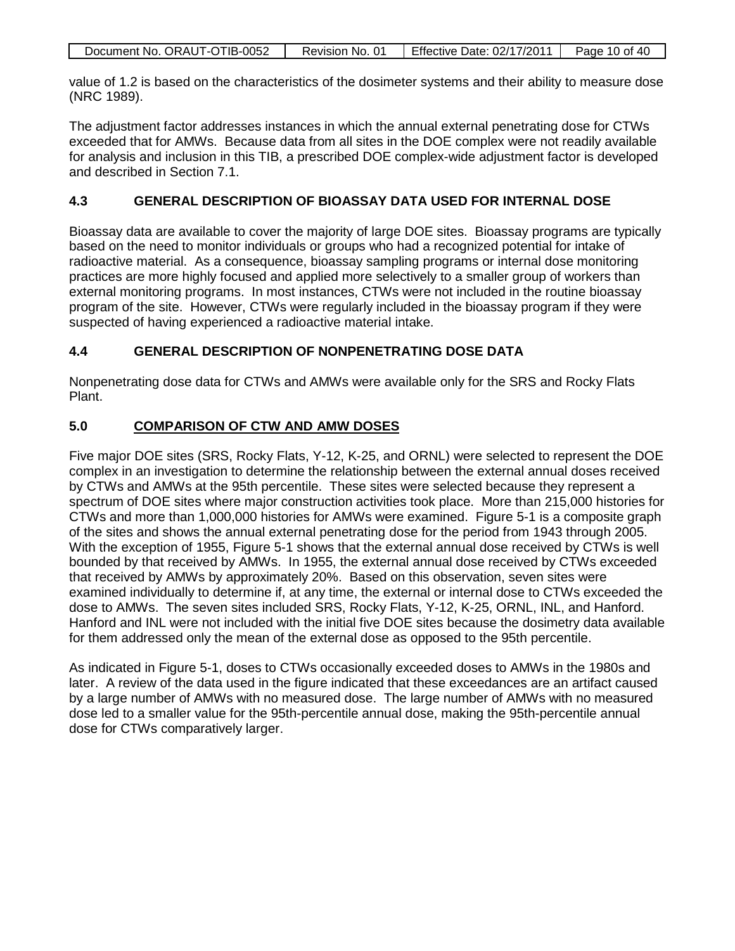| Document No. ORAUT-OTIB-0052 | Revision No. 01 | Effective Date: 02/17/2011 | Page 10 of 40 |
|------------------------------|-----------------|----------------------------|---------------|

value of 1.2 is based on the characteristics of the dosimeter systems and their ability to measure dose (NRC 1989).

The adjustment factor addresses instances in which the annual external penetrating dose for CTWs exceeded that for AMWs. Because data from all sites in the DOE complex were not readily available for analysis and inclusion in this TIB, a prescribed DOE complex-wide adjustment factor is developed and described in Section 7.1.

### **4.3 GENERAL DESCRIPTION OF BIOASSAY DATA USED FOR INTERNAL DOSE**

Bioassay data are available to cover the majority of large DOE sites. Bioassay programs are typically based on the need to monitor individuals or groups who had a recognized potential for intake of radioactive material. As a consequence, bioassay sampling programs or internal dose monitoring practices are more highly focused and applied more selectively to a smaller group of workers than external monitoring programs. In most instances, CTWs were not included in the routine bioassay program of the site. However, CTWs were regularly included in the bioassay program if they were suspected of having experienced a radioactive material intake.

### **4.4 GENERAL DESCRIPTION OF NONPENETRATING DOSE DATA**

Nonpenetrating dose data for CTWs and AMWs were available only for the SRS and Rocky Flats Plant.

#### **5.0 COMPARISON OF CTW AND AMW DOSES**

Five major DOE sites (SRS, Rocky Flats, Y-12, K-25, and ORNL) were selected to represent the DOE complex in an investigation to determine the relationship between the external annual doses received by CTWs and AMWs at the 95th percentile. These sites were selected because they represent a spectrum of DOE sites where major construction activities took place. More than 215,000 histories for CTWs and more than 1,000,000 histories for AMWs were examined. Figure 5-1 is a composite graph of the sites and shows the annual external penetrating dose for the period from 1943 through 2005. With the exception of 1955, Figure 5-1 shows that the external annual dose received by CTWs is well bounded by that received by AMWs. In 1955, the external annual dose received by CTWs exceeded that received by AMWs by approximately 20%. Based on this observation, seven sites were examined individually to determine if, at any time, the external or internal dose to CTWs exceeded the dose to AMWs. The seven sites included SRS, Rocky Flats, Y-12, K-25, ORNL, INL, and Hanford. Hanford and INL were not included with the initial five DOE sites because the dosimetry data available for them addressed only the mean of the external dose as opposed to the 95th percentile.

As indicated in Figure 5-1, doses to CTWs occasionally exceeded doses to AMWs in the 1980s and later. A review of the data used in the figure indicated that these exceedances are an artifact caused by a large number of AMWs with no measured dose. The large number of AMWs with no measured dose led to a smaller value for the 95th-percentile annual dose, making the 95th-percentile annual dose for CTWs comparatively larger.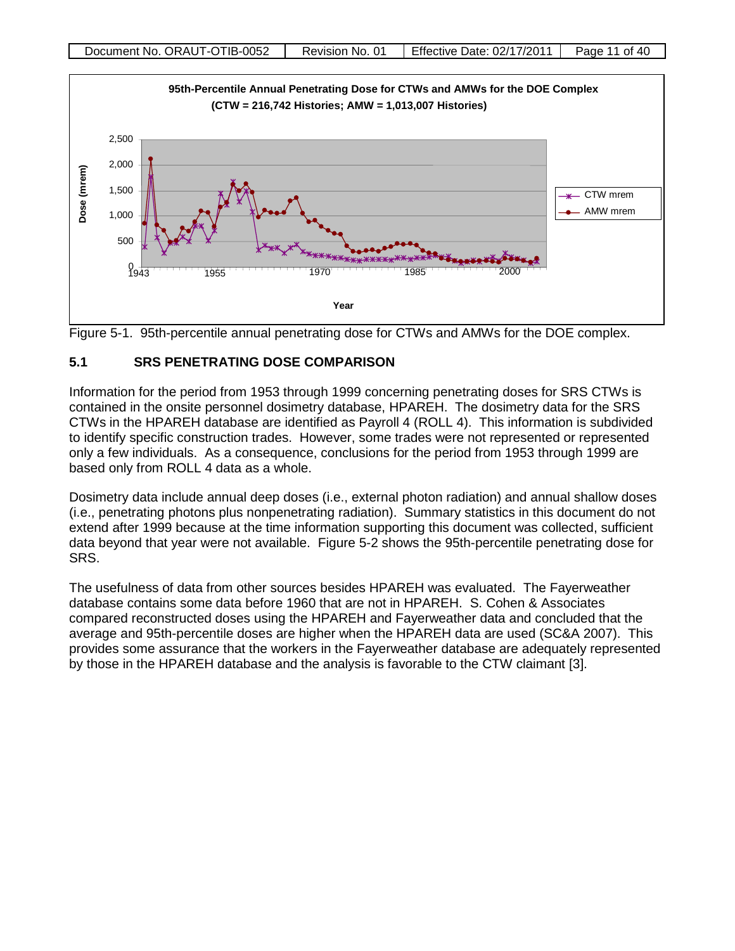



# **5.1 SRS PENETRATING DOSE COMPARISON**

Information for the period from 1953 through 1999 concerning penetrating doses for SRS CTWs is contained in the onsite personnel dosimetry database, HPAREH. The dosimetry data for the SRS CTWs in the HPAREH database are identified as Payroll 4 (ROLL 4). This information is subdivided to identify specific construction trades. However, some trades were not represented or represented only a few individuals. As a consequence, conclusions for the period from 1953 through 1999 are based only from ROLL 4 data as a whole.

Dosimetry data include annual deep doses (i.e., external photon radiation) and annual shallow doses (i.e., penetrating photons plus nonpenetrating radiation). Summary statistics in this document do not extend after 1999 because at the time information supporting this document was collected, sufficient data beyond that year were not available. Figure 5-2 shows the 95th-percentile penetrating dose for SRS.

The usefulness of data from other sources besides HPAREH was evaluated. The Fayerweather database contains some data before 1960 that are not in HPAREH. S. Cohen & Associates compared reconstructed doses using the HPAREH and Fayerweather data and concluded that the average and 95th-percentile doses are higher when the HPAREH data are used (SC&A 2007). This provides some assurance that the workers in the Fayerweather database are adequately represented by those in the HPAREH database and the analysis is favorable to the CTW claimant [3].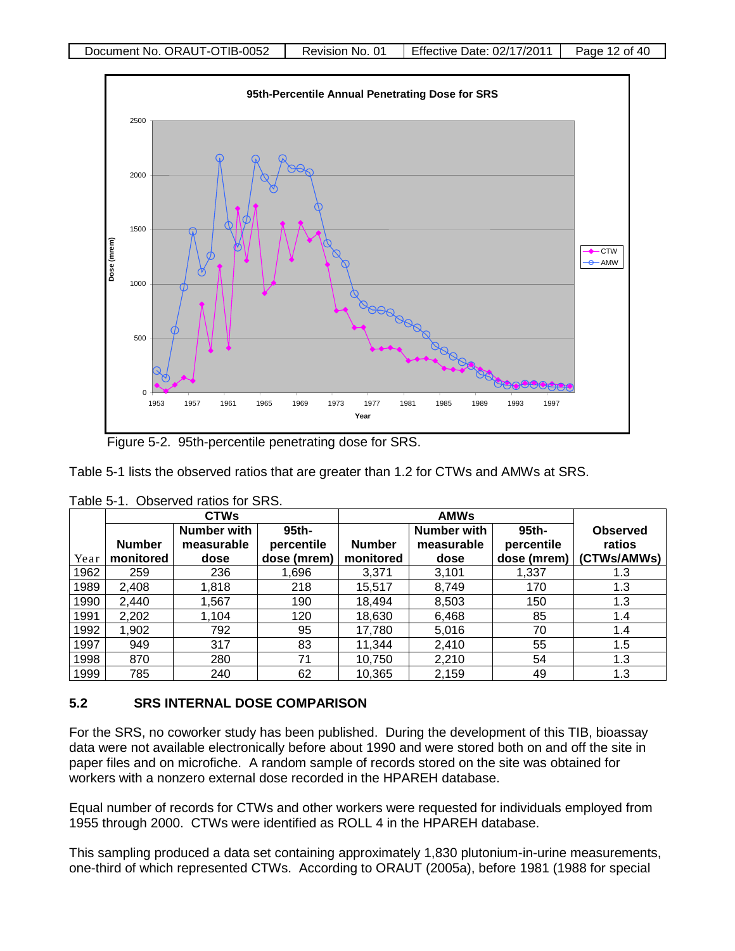

Figure 5-2. 95th-percentile penetrating dose for SRS.

Table 5-1 lists the observed ratios that are greater than 1.2 for CTWs and AMWs at SRS.

|      | <b>CTWs</b>   |                           |                     | <b>AMWs</b>   |                                  |                     |                           |
|------|---------------|---------------------------|---------------------|---------------|----------------------------------|---------------------|---------------------------|
|      | <b>Number</b> | Number with<br>measurable | 95th-<br>percentile | <b>Number</b> | <b>Number with</b><br>measurable | 95th-<br>percentile | <b>Observed</b><br>ratios |
| Year | monitored     | dose                      | dose (mrem)         | monitored     | dose                             | dose (mrem)         | (CTWs/AMWs)               |
| 1962 | 259           | 236                       | 1,696               | 3,371         | 3,101                            | 1,337               | 1.3                       |
| 1989 | 2,408         | 1,818                     | 218                 | 15,517        | 8,749                            | 170                 | 1.3                       |
| 1990 | 2.440         | 1,567                     | 190                 | 18.494        | 8,503                            | 150                 | 1.3                       |
| 1991 | 2,202         | 1,104                     | 120                 | 18,630        | 6,468                            | 85                  | 1.4                       |
| 1992 | 1,902         | 792                       | 95                  | 17,780        | 5,016                            | 70                  | 1.4                       |
| 1997 | 949           | 317                       | 83                  | 11,344        | 2,410                            | 55                  | 1.5                       |
| 1998 | 870           | 280                       | 71                  | 10,750        | 2,210                            | 54                  | 1.3                       |
| 1999 | 785           | 240                       | 62                  | 10,365        | 2,159                            | 49                  | 1.3                       |

Table 5-1. Observed ratios for SRS.

# **5.2 SRS INTERNAL DOSE COMPARISON**

For the SRS, no coworker study has been published. During the development of this TIB, bioassay data were not available electronically before about 1990 and were stored both on and off the site in paper files and on microfiche. A random sample of records stored on the site was obtained for workers with a nonzero external dose recorded in the HPAREH database.

Equal number of records for CTWs and other workers were requested for individuals employed from 1955 through 2000. CTWs were identified as ROLL 4 in the HPAREH database.

This sampling produced a data set containing approximately 1,830 plutonium-in-urine measurements, one-third of which represented CTWs. According to ORAUT (2005a), before 1981 (1988 for special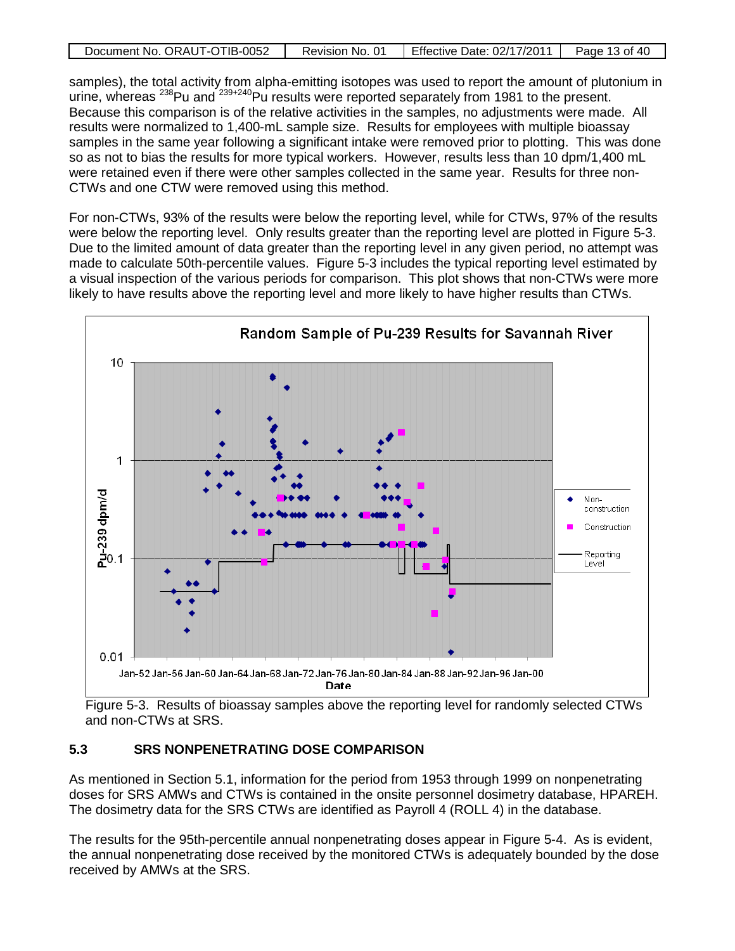| Document No. ORAUT-OTIB-0052 | Revision No. 01 | Effective Date: 02/17/2011 | Page 13 of 40 |
|------------------------------|-----------------|----------------------------|---------------|
|                              |                 |                            |               |

samples), the total activity from alpha-emitting isotopes was used to report the amount of plutonium in urine, whereas <sup>238</sup>Pu and <sup>239+240</sup>Pu results were reported separately from 1981 to the present. Because this comparison is of the relative activities in the samples, no adjustments were made. All results were normalized to 1,400-mL sample size. Results for employees with multiple bioassay samples in the same year following a significant intake were removed prior to plotting. This was done so as not to bias the results for more typical workers. However, results less than 10 dpm/1,400 mL were retained even if there were other samples collected in the same year. Results for three non-CTWs and one CTW were removed using this method.

For non-CTWs, 93% of the results were below the reporting level, while for CTWs, 97% of the results were below the reporting level. Only results greater than the reporting level are plotted in Figure 5-3. Due to the limited amount of data greater than the reporting level in any given period, no attempt was made to calculate 50th-percentile values. Figure 5-3 includes the typical reporting level estimated by a visual inspection of the various periods for comparison. This plot shows that non-CTWs were more likely to have results above the reporting level and more likely to have higher results than CTWs.



Figure 5-3. Results of bioassay samples above the reporting level for randomly selected CTWs and non-CTWs at SRS.

# **5.3 SRS NONPENETRATING DOSE COMPARISON**

As mentioned in Section 5.1, information for the period from 1953 through 1999 on nonpenetrating doses for SRS AMWs and CTWs is contained in the onsite personnel dosimetry database, HPAREH. The dosimetry data for the SRS CTWs are identified as Payroll 4 (ROLL 4) in the database.

The results for the 95th-percentile annual nonpenetrating doses appear in Figure 5-4. As is evident, the annual nonpenetrating dose received by the monitored CTWs is adequately bounded by the dose received by AMWs at the SRS.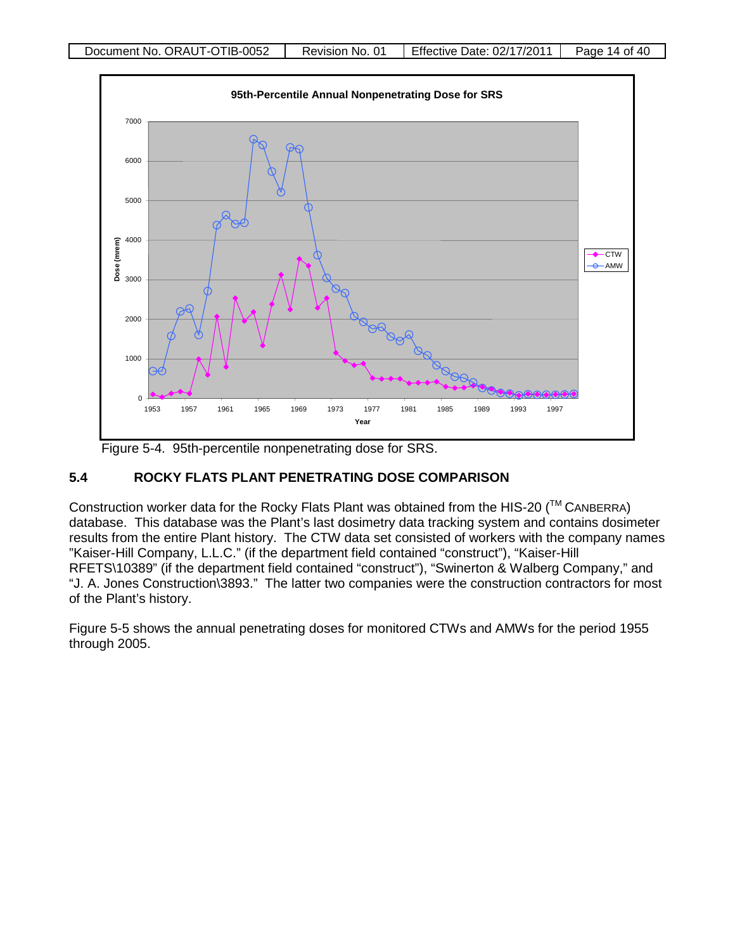

Figure 5-4. 95th-percentile nonpenetrating dose for SRS.

# **5.4 ROCKY FLATS PLANT PENETRATING DOSE COMPARISON**

Construction worker data for the Rocky Flats Plant was obtained from the HIS-20 ( $\text{TM}$  CANBERRA) database. This database was the Plant's last dosimetry data tracking system and contains dosimeter results from the entire Plant history. The CTW data set consisted of workers with the company names "Kaiser-Hill Company, L.L.C." (if the department field contained "construct"), "Kaiser-Hill RFETS\10389" (if the department field contained "construct"), "Swinerton & Walberg Company," and "J. A. Jones Construction\3893." The latter two companies were the construction contractors for most of the Plant's history.

Figure 5-5 shows the annual penetrating doses for monitored CTWs and AMWs for the period 1955 through 2005.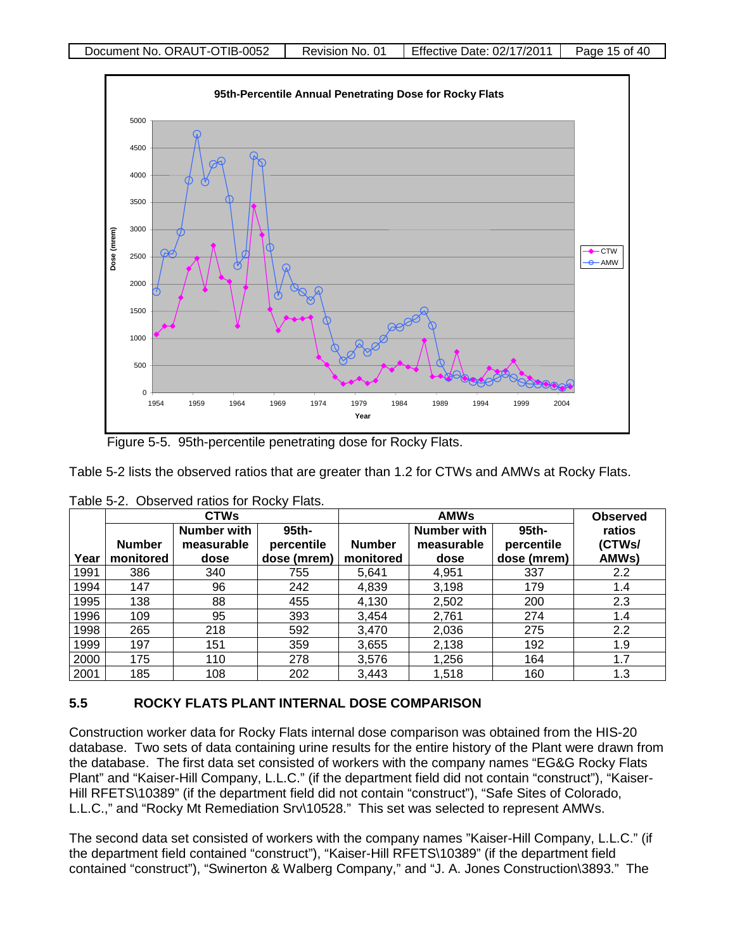

Figure 5-5. 95th-percentile penetrating dose for Rocky Flats.

Table 5-2 lists the observed ratios that are greater than 1.2 for CTWs and AMWs at Rocky Flats.

|      | <b>CTWs</b>                |                                          |                                    | <b>AMWs</b>                |                                          |                                    | <b>Observed</b>           |
|------|----------------------------|------------------------------------------|------------------------------------|----------------------------|------------------------------------------|------------------------------------|---------------------------|
| Year | <b>Number</b><br>monitored | <b>Number with</b><br>measurable<br>dose | 95th-<br>percentile<br>dose (mrem) | <b>Number</b><br>monitored | <b>Number with</b><br>measurable<br>dose | 95th-<br>percentile<br>dose (mrem) | ratios<br>(CTWs/<br>AMWs) |
| 1991 | 386                        | 340                                      | 755                                | 5,641                      | 4,951                                    | 337                                | 2.2                       |
| 1994 | 147                        | 96                                       | 242                                | 4,839                      | 3,198                                    | 179                                | $1.4^{\circ}$             |
| 1995 | 138                        | 88                                       | 455                                | 4,130                      | 2,502                                    | 200                                | 2.3                       |
| 1996 | 109                        | 95                                       | 393                                | 3.454                      | 2,761                                    | 274                                | $1.4^{\circ}$             |
| 1998 | 265                        | 218                                      | 592                                | 3.470                      | 2,036                                    | 275                                | 2.2                       |
| 1999 | 197                        | 151                                      | 359                                | 3,655                      | 2,138                                    | 192                                | 1.9                       |
| 2000 | 175                        | 110                                      | 278                                | 3,576                      | 1,256                                    | 164                                | 1.7                       |
| 2001 | 185                        | 108                                      | 202                                | 3,443                      | 1,518                                    | 160                                | 1.3                       |

Table 5-2. Observed ratios for Rocky Flats.

# **5.5 ROCKY FLATS PLANT INTERNAL DOSE COMPARISON**

Construction worker data for Rocky Flats internal dose comparison was obtained from the HIS-20 database. Two sets of data containing urine results for the entire history of the Plant were drawn from the database. The first data set consisted of workers with the company names "EG&G Rocky Flats Plant" and "Kaiser-Hill Company, L.L.C." (if the department field did not contain "construct"), "Kaiser-Hill RFETS\10389" (if the department field did not contain "construct"), "Safe Sites of Colorado, L.L.C.," and "Rocky Mt Remediation Srv\10528." This set was selected to represent AMWs.

The second data set consisted of workers with the company names "Kaiser-Hill Company, L.L.C." (if the department field contained "construct"), "Kaiser-Hill RFETS\10389" (if the department field contained "construct"), "Swinerton & Walberg Company," and "J. A. Jones Construction\3893." The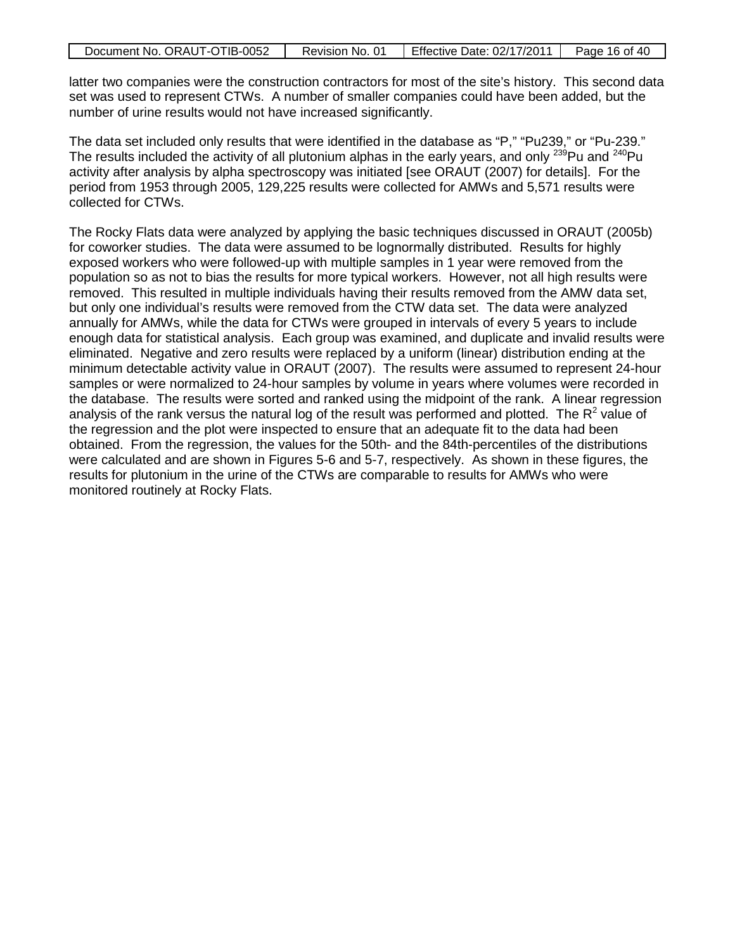| Document No. ORAUT-OTIB-0052 | Revision No. 01 | <b>Effective Date: 02/17/2011</b> | Page 16 of 40 |
|------------------------------|-----------------|-----------------------------------|---------------|
|                              |                 |                                   |               |

latter two companies were the construction contractors for most of the site's history. This second data set was used to represent CTWs. A number of smaller companies could have been added, but the number of urine results would not have increased significantly.

The data set included only results that were identified in the database as "P," "Pu239," or "Pu-239." The results included the activity of all plutonium alphas in the early years, and only  $^{239}$ Pu and  $^{240}$ Pu activity after analysis by alpha spectroscopy was initiated [see ORAUT (2007) for details]. For the period from 1953 through 2005, 129,225 results were collected for AMWs and 5,571 results were collected for CTWs.

The Rocky Flats data were analyzed by applying the basic techniques discussed in ORAUT (2005b) for coworker studies. The data were assumed to be lognormally distributed. Results for highly exposed workers who were followed-up with multiple samples in 1 year were removed from the population so as not to bias the results for more typical workers. However, not all high results were removed. This resulted in multiple individuals having their results removed from the AMW data set, but only one individual's results were removed from the CTW data set. The data were analyzed annually for AMWs, while the data for CTWs were grouped in intervals of every 5 years to include enough data for statistical analysis. Each group was examined, and duplicate and invalid results were eliminated. Negative and zero results were replaced by a uniform (linear) distribution ending at the minimum detectable activity value in ORAUT (2007). The results were assumed to represent 24-hour samples or were normalized to 24-hour samples by volume in years where volumes were recorded in the database. The results were sorted and ranked using the midpoint of the rank. A linear regression analysis of the rank versus the natural log of the result was performed and plotted. The  $R^2$  value of the regression and the plot were inspected to ensure that an adequate fit to the data had been obtained. From the regression, the values for the 50th- and the 84th-percentiles of the distributions were calculated and are shown in Figures 5-6 and 5-7, respectively. As shown in these figures, the results for plutonium in the urine of the CTWs are comparable to results for AMWs who were monitored routinely at Rocky Flats.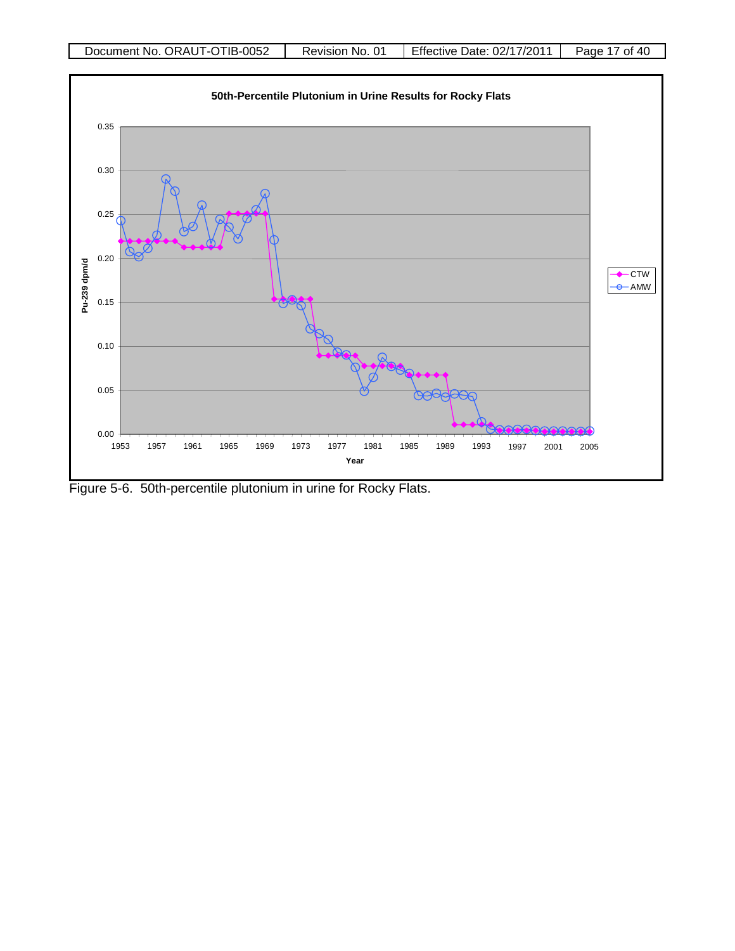

Figure 5-6. 50th-percentile plutonium in urine for Rocky Flats.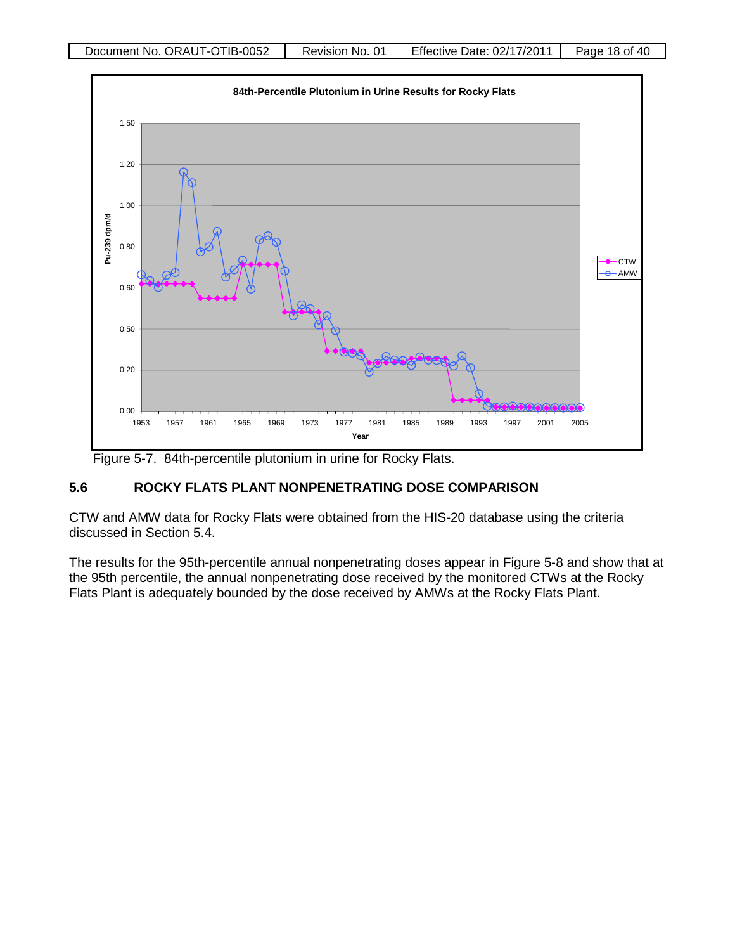

Figure 5-7. 84th-percentile plutonium in urine for Rocky Flats.

# **5.6 ROCKY FLATS PLANT NONPENETRATING DOSE COMPARISON**

CTW and AMW data for Rocky Flats were obtained from the HIS-20 database using the criteria discussed in Section 5.4.

The results for the 95th-percentile annual nonpenetrating doses appear in Figure 5-8 and show that at the 95th percentile, the annual nonpenetrating dose received by the monitored CTWs at the Rocky Flats Plant is adequately bounded by the dose received by AMWs at the Rocky Flats Plant.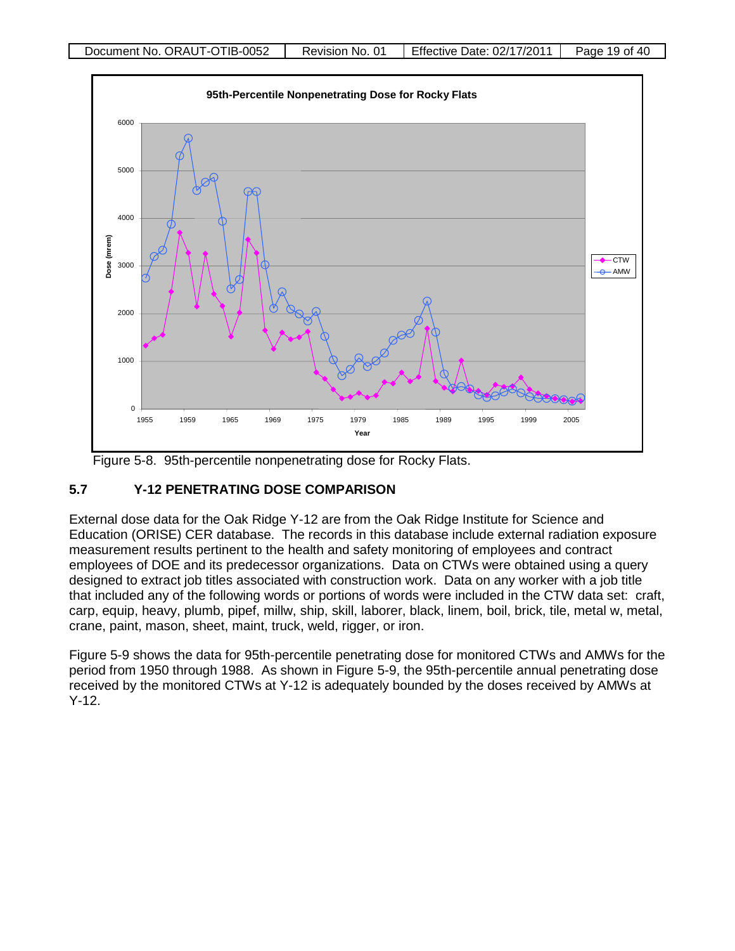

Figure 5-8. 95th-percentile nonpenetrating dose for Rocky Flats.

# **5.7 Y-12 PENETRATING DOSE COMPARISON**

External dose data for the Oak Ridge Y-12 are from the Oak Ridge Institute for Science and Education (ORISE) CER database. The records in this database include external radiation exposure measurement results pertinent to the health and safety monitoring of employees and contract employees of DOE and its predecessor organizations. Data on CTWs were obtained using a query designed to extract job titles associated with construction work. Data on any worker with a job title that included any of the following words or portions of words were included in the CTW data set: craft, carp, equip, heavy, plumb, pipef, millw, ship, skill, laborer, black, linem, boil, brick, tile, metal w, metal, crane, paint, mason, sheet, maint, truck, weld, rigger, or iron.

Figure 5-9 shows the data for 95th-percentile penetrating dose for monitored CTWs and AMWs for the period from 1950 through 1988. As shown in Figure 5-9, the 95th-percentile annual penetrating dose received by the monitored CTWs at Y-12 is adequately bounded by the doses received by AMWs at Y-12.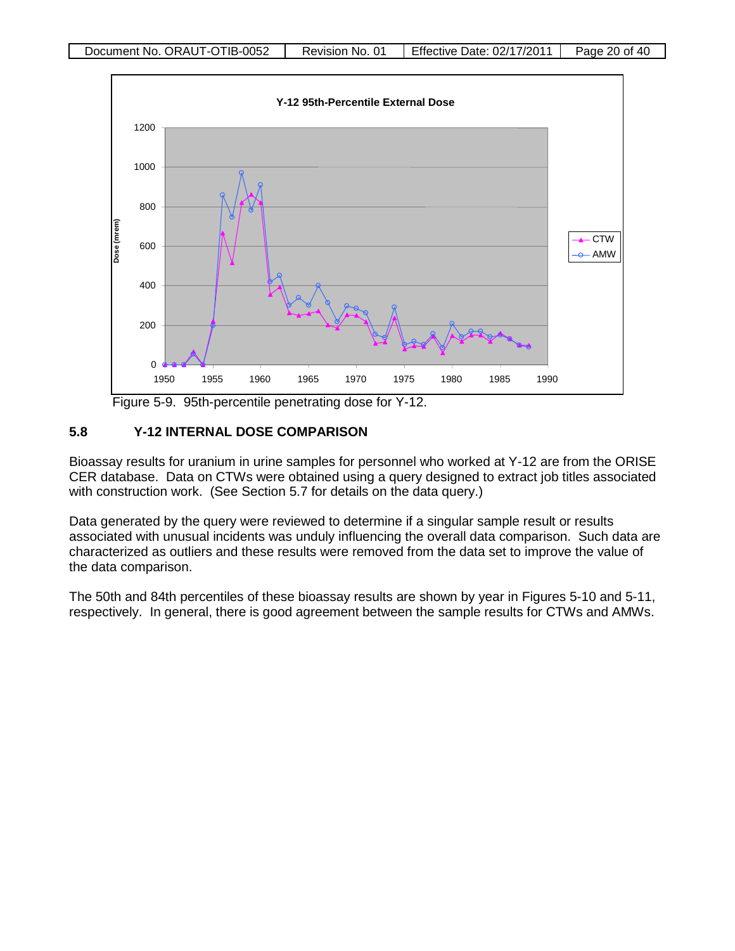

Figure 5-9. 95th-percentile penetrating dose for Y-12.

# **5.8 Y-12 INTERNAL DOSE COMPARISON**

Bioassay results for uranium in urine samples for personnel who worked at Y-12 are from the ORISE CER database. Data on CTWs were obtained using a query designed to extract job titles associated with construction work. (See Section 5.7 for details on the data query.)

Data generated by the query were reviewed to determine if a singular sample result or results associated with unusual incidents was unduly influencing the overall data comparison. Such data are characterized as outliers and these results were removed from the data set to improve the value of the data comparison.

The 50th and 84th percentiles of these bioassay results are shown by year in Figures 5-10 and 5-11, respectively. In general, there is good agreement between the sample results for CTWs and AMWs.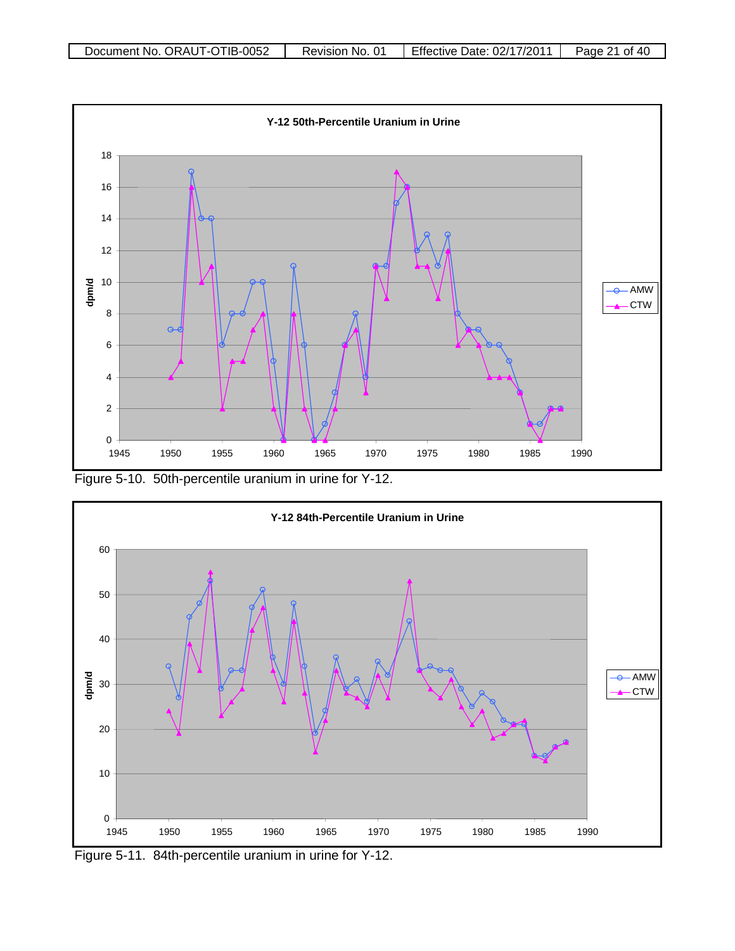

Figure 5-10. 50th-percentile uranium in urine for Y-12.



Figure 5-11. 84th-percentile uranium in urine for Y-12.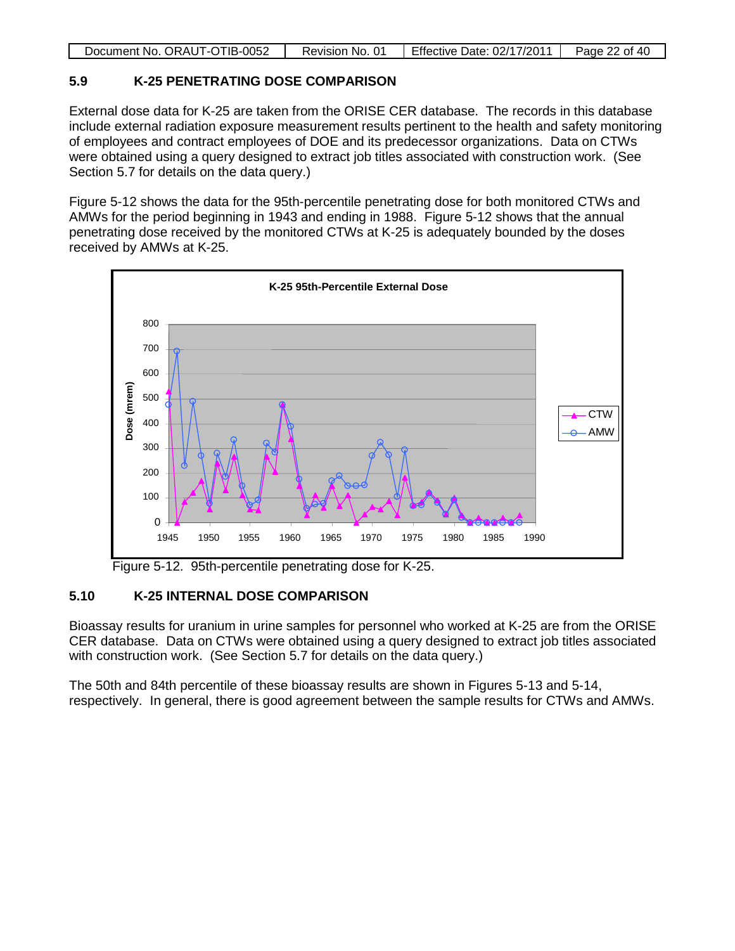| Document No. ORAUT-OTIB-0052 | Revision No. 01 | Effective Date: 02/17/2011 | Page 22 of 40 |
|------------------------------|-----------------|----------------------------|---------------|
|                              |                 |                            |               |

### **5.9 K-25 PENETRATING DOSE COMPARISON**

External dose data for K-25 are taken from the ORISE CER database. The records in this database include external radiation exposure measurement results pertinent to the health and safety monitoring of employees and contract employees of DOE and its predecessor organizations. Data on CTWs were obtained using a query designed to extract job titles associated with construction work. (See Section 5.7 for details on the data query.)

Figure 5-12 shows the data for the 95th-percentile penetrating dose for both monitored CTWs and AMWs for the period beginning in 1943 and ending in 1988. Figure 5-12 shows that the annual penetrating dose received by the monitored CTWs at K-25 is adequately bounded by the doses received by AMWs at K-25.



Figure 5-12. 95th-percentile penetrating dose for K-25.

# **5.10 K-25 INTERNAL DOSE COMPARISON**

Bioassay results for uranium in urine samples for personnel who worked at K-25 are from the ORISE CER database. Data on CTWs were obtained using a query designed to extract job titles associated with construction work. (See Section 5.7 for details on the data query.)

The 50th and 84th percentile of these bioassay results are shown in Figures 5-13 and 5-14, respectively. In general, there is good agreement between the sample results for CTWs and AMWs.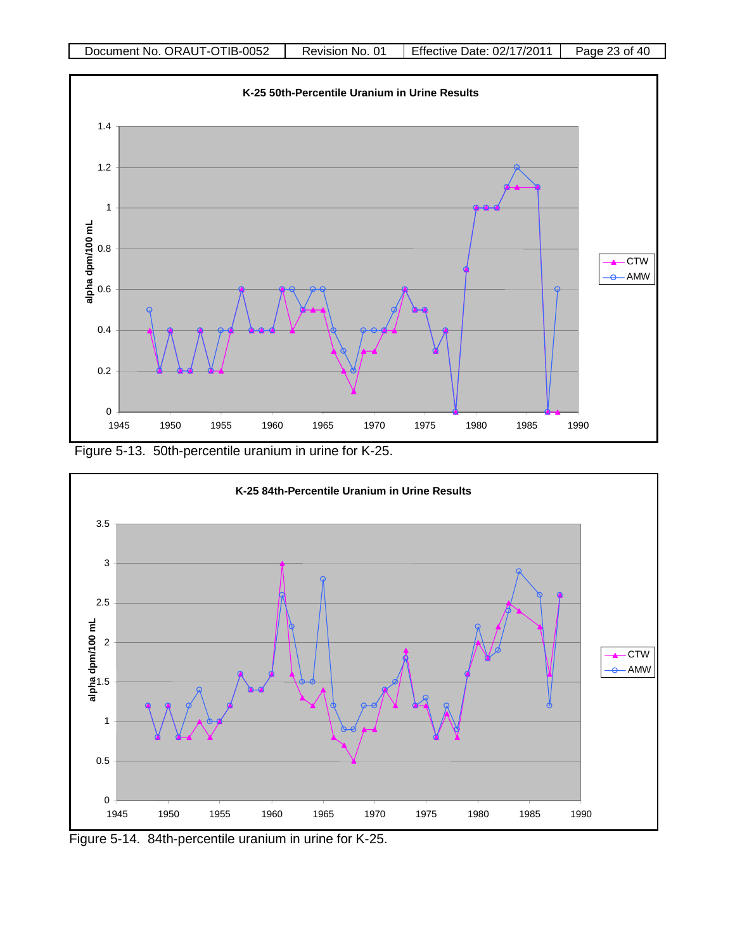

Figure 5-13. 50th-percentile uranium in urine for K-25.



Figure 5-14. 84th-percentile uranium in urine for K-25.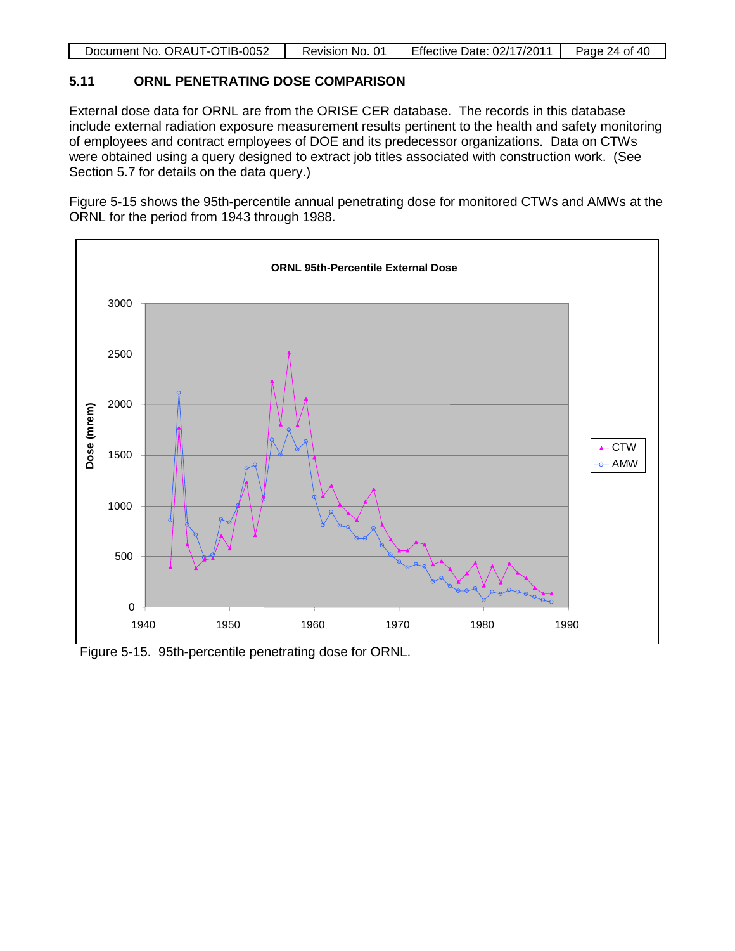|  | Document No. ORAUT-OTIB-0052 | Revision No. 01 | Effective Date: 02/17/2011 | Page 24 of 40 |
|--|------------------------------|-----------------|----------------------------|---------------|
|--|------------------------------|-----------------|----------------------------|---------------|

# **5.11 ORNL PENETRATING DOSE COMPARISON**

External dose data for ORNL are from the ORISE CER database. The records in this database include external radiation exposure measurement results pertinent to the health and safety monitoring of employees and contract employees of DOE and its predecessor organizations. Data on CTWs were obtained using a query designed to extract job titles associated with construction work. (See Section 5.7 for details on the data query.)

Figure 5-15 shows the 95th-percentile annual penetrating dose for monitored CTWs and AMWs at the ORNL for the period from 1943 through 1988.



Figure 5-15. 95th-percentile penetrating dose for ORNL.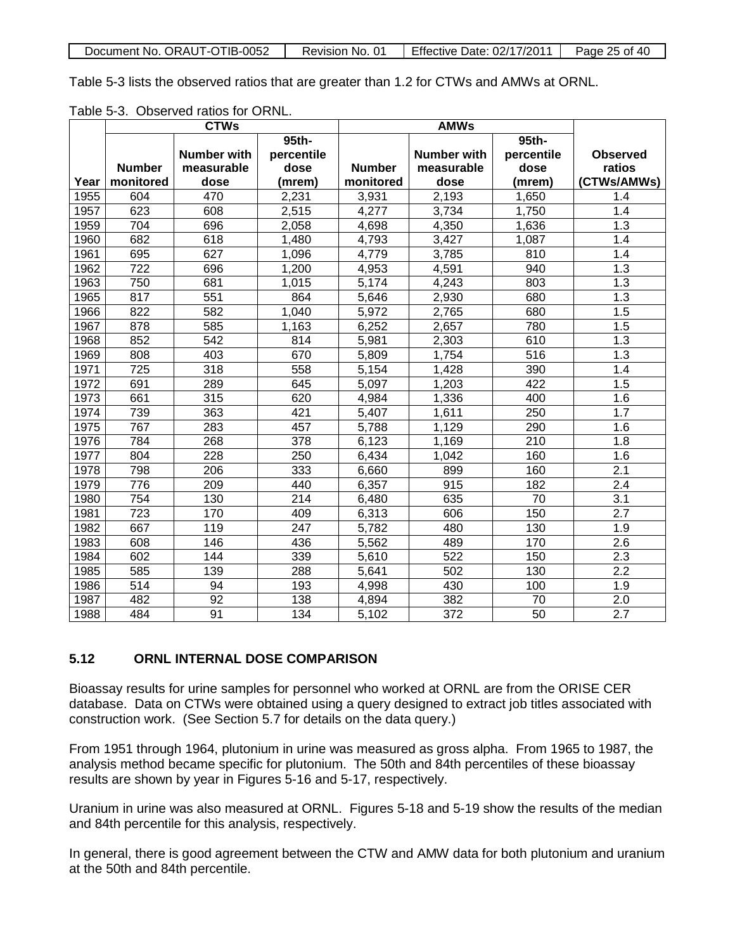| Document No. ORAUT-OTIB-0052 | Revision No. 01 | Effective Date: 02/17/2011 | Page 25 of 40 |
|------------------------------|-----------------|----------------------------|---------------|

Table 5-3 lists the observed ratios that are greater than 1.2 for CTWs and AMWs at ORNL.

| Table 5-3. Observed ratios for ORNL. |  |  |  |
|--------------------------------------|--|--|--|
|--------------------------------------|--|--|--|

|      | <b>CTWs</b>   |                    | <b>AMWs</b> |               |                    |            |                 |
|------|---------------|--------------------|-------------|---------------|--------------------|------------|-----------------|
|      |               |                    | 95th-       |               |                    | 95th-      |                 |
|      |               | <b>Number with</b> | percentile  |               | <b>Number with</b> | percentile | <b>Observed</b> |
|      | <b>Number</b> | measurable         | dose        | <b>Number</b> | measurable         | dose       | ratios          |
| Year | monitored     | dose               | (mrem)      | monitored     | dose               | (mrem)     | (CTWs/AMWs)     |
| 1955 | 604           | 470                | 2,231       | 3,931         | 2,193              | 1,650      | 1.4             |
| 1957 | 623           | 608                | 2,515       | 4,277         | 3,734              | 1,750      | 1.4             |
| 1959 | 704           | 696                | 2,058       | 4,698         | 4,350              | 1,636      | 1.3             |
| 1960 | 682           | 618                | 1,480       | 4,793         | 3,427              | 1,087      | 1.4             |
| 1961 | 695           | 627                | 1,096       | 4,779         | 3,785              | 810        | 1.4             |
| 1962 | 722           | 696                | 1,200       | 4,953         | 4,591              | 940        | 1.3             |
| 1963 | 750           | 681                | 1,015       | 5,174         | 4,243              | 803        | 1.3             |
| 1965 | 817           | 551                | 864         | 5,646         | 2,930              | 680        | 1.3             |
| 1966 | 822           | 582                | 1,040       | 5,972         | 2,765              | 680        | 1.5             |
| 1967 | 878           | 585                | 1,163       | 6,252         | 2,657              | 780        | 1.5             |
| 1968 | 852           | 542                | 814         | 5,981         | 2,303              | 610        | 1.3             |
| 1969 | 808           | 403                | 670         | 5,809         | 1,754              | 516        | 1.3             |
| 1971 | 725           | 318                | 558         | 5,154         | 1,428              | 390        | 1.4             |
| 1972 | 691           | 289                | 645         | 5,097         | 1,203              | 422        | 1.5             |
| 1973 | 661           | 315                | 620         | 4,984         | 1,336              | 400        | 1.6             |
| 1974 | 739           | 363                | 421         | 5,407         | 1,611              | 250        | 1.7             |
| 1975 | 767           | 283                | 457         | 5,788         | 1,129              | 290        | 1.6             |
| 1976 | 784           | 268                | 378         | 6,123         | 1,169              | 210        | 1.8             |
| 1977 | 804           | 228                | 250         | 6,434         | 1,042              | 160        | 1.6             |
| 1978 | 798           | 206                | 333         | 6,660         | 899                | 160        | 2.1             |
| 1979 | 776           | 209                | 440         | 6,357         | 915                | 182        | 2.4             |
| 1980 | 754           | 130                | 214         | 6,480         | 635                | 70         | 3.1             |
| 1981 | 723           | 170                | 409         | 6,313         | 606                | 150        | 2.7             |
| 1982 | 667           | 119                | 247         | 5,782         | 480                | 130        | 1.9             |
| 1983 | 608           | 146                | 436         | 5,562         | 489                | 170        | 2.6             |
| 1984 | 602           | 144                | 339         | 5,610         | 522                | 150        | 2.3             |
| 1985 | 585           | 139                | 288         | 5,641         | 502                | 130        | 2.2             |
| 1986 | 514           | 94                 | 193         | 4,998         | 430                | 100        | 1.9             |
| 1987 | 482           | 92                 | 138         | 4,894         | 382                | 70         | 2.0             |
| 1988 | 484           | 91                 | 134         | 5,102         | 372                | 50         | 2.7             |

# **5.12 ORNL INTERNAL DOSE COMPARISON**

Bioassay results for urine samples for personnel who worked at ORNL are from the ORISE CER database. Data on CTWs were obtained using a query designed to extract job titles associated with construction work. (See Section 5.7 for details on the data query.)

From 1951 through 1964, plutonium in urine was measured as gross alpha. From 1965 to 1987, the analysis method became specific for plutonium. The 50th and 84th percentiles of these bioassay results are shown by year in Figures 5-16 and 5-17, respectively.

Uranium in urine was also measured at ORNL. Figures 5-18 and 5-19 show the results of the median and 84th percentile for this analysis, respectively.

In general, there is good agreement between the CTW and AMW data for both plutonium and uranium at the 50th and 84th percentile.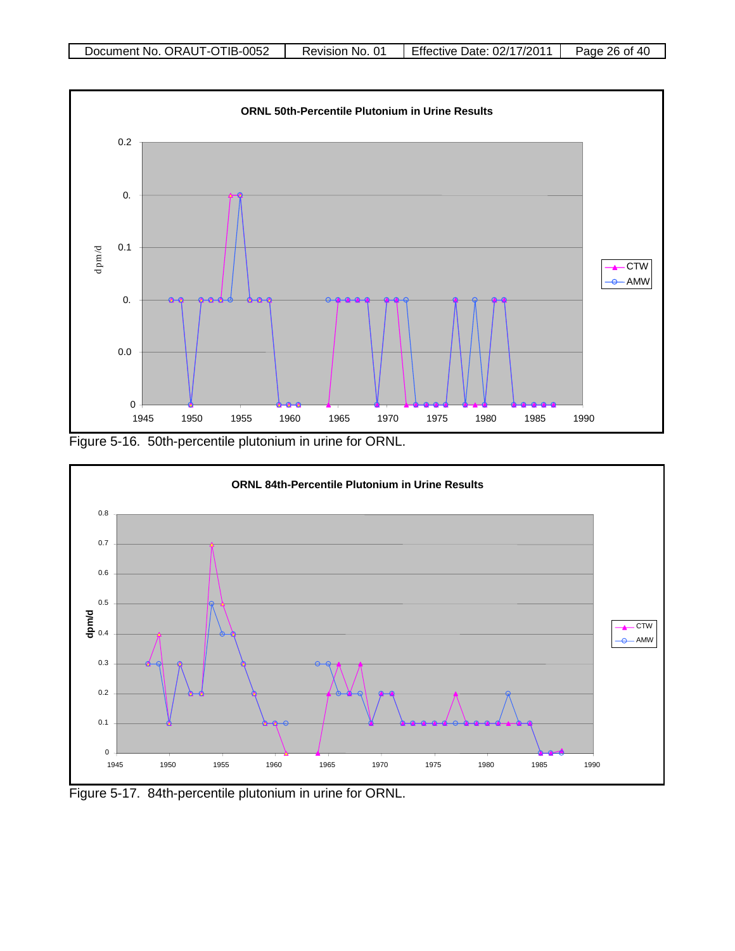

Figure 5-16. 50th-percentile plutonium in urine for ORNL.



Figure 5-17. 84th-percentile plutonium in urine for ORNL.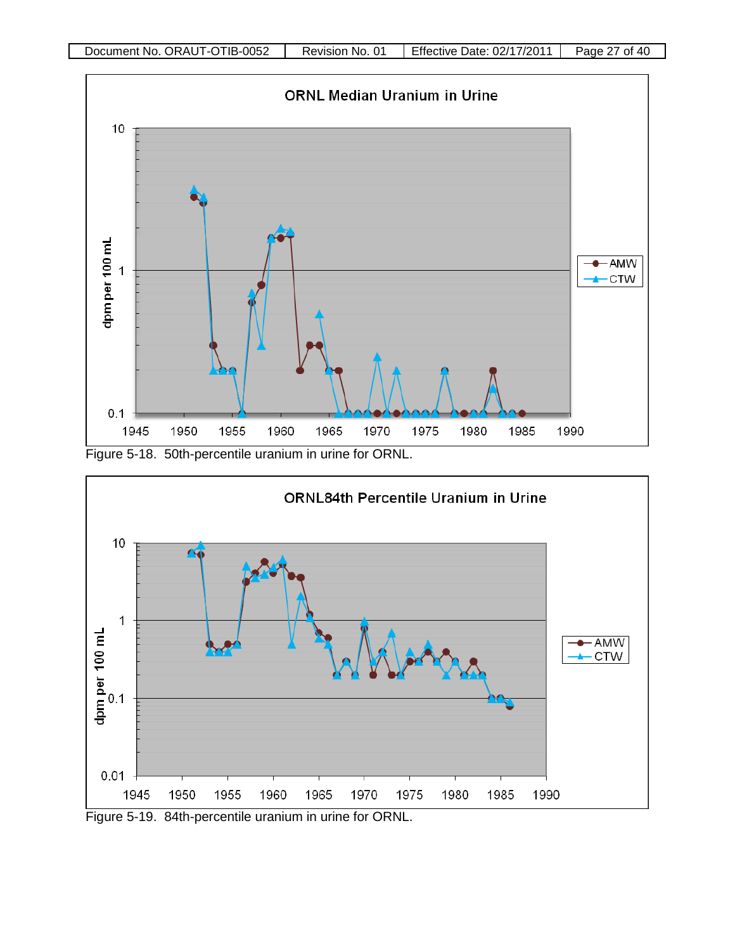

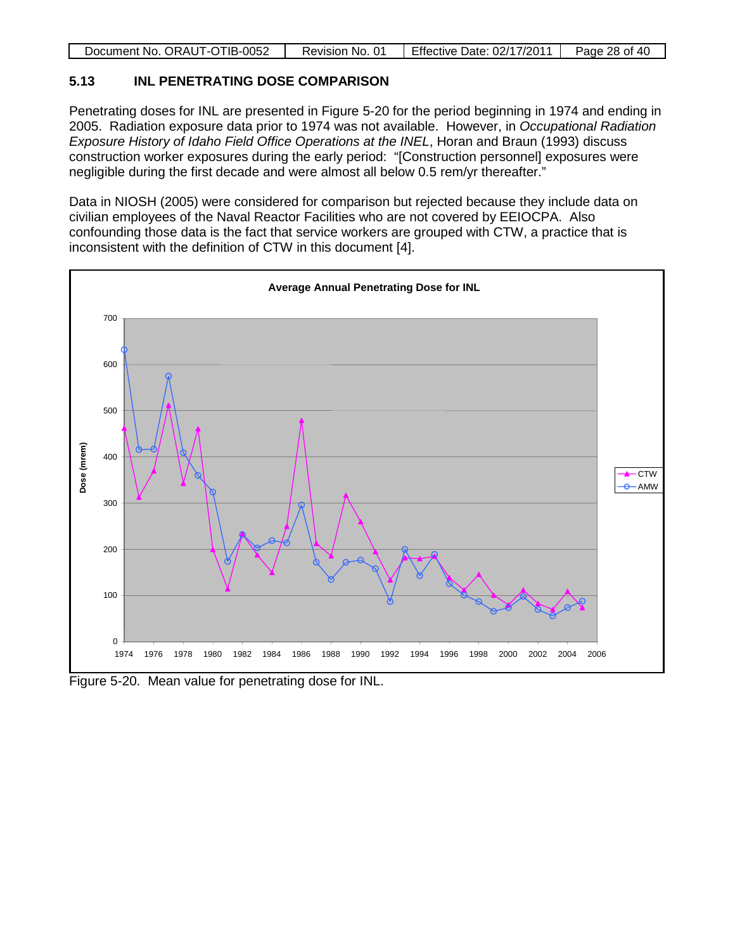| Document No. ORAUT-OTIB-0052 | Revision No. 01 | Effective Date: 02/17/2011 | Page 28 of 40 |
|------------------------------|-----------------|----------------------------|---------------|
|                              |                 |                            |               |

# **5.13 INL PENETRATING DOSE COMPARISON**

Penetrating doses for INL are presented in Figure 5-20 for the period beginning in 1974 and ending in 2005. Radiation exposure data prior to 1974 was not available. However, in *Occupational Radiation Exposure History of Idaho Field Office Operations at the INEL*, Horan and Braun (1993) discuss construction worker exposures during the early period: "[Construction personnel] exposures were negligible during the first decade and were almost all below 0.5 rem/yr thereafter."

Data in NIOSH (2005) were considered for comparison but rejected because they include data on civilian employees of the Naval Reactor Facilities who are not covered by EEIOCPA. Also confounding those data is the fact that service workers are grouped with CTW, a practice that is inconsistent with the definition of CTW in this document [4].



Figure 5-20. Mean value for penetrating dose for INL.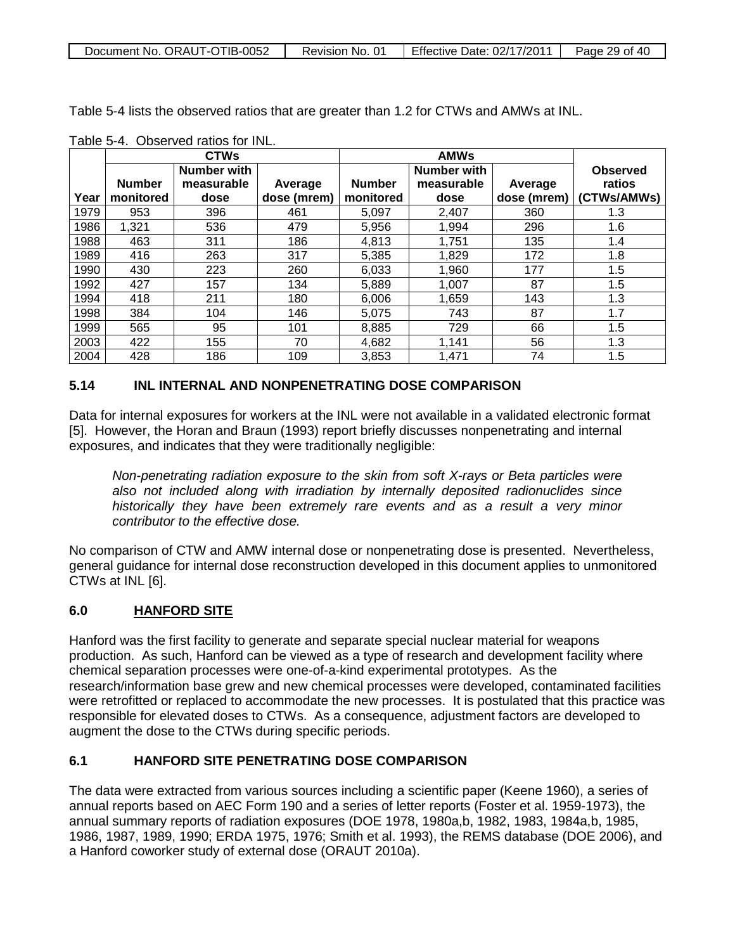| Document No. ORAUT-OTIB-0052 | Revision No. 01 | Effective Date: 02/17/2011 | Page 29 of 40 |
|------------------------------|-----------------|----------------------------|---------------|
|                              |                 |                            |               |

Table 5-4 lists the observed ratios that are greater than 1.2 for CTWs and AMWs at INL.

|      |               | <b>CTWs</b>        |             |               | <b>AMWs</b>        |             |                 |
|------|---------------|--------------------|-------------|---------------|--------------------|-------------|-----------------|
|      |               | <b>Number with</b> |             |               | <b>Number with</b> |             | <b>Observed</b> |
|      | <b>Number</b> | measurable         | Average     | <b>Number</b> | measurable         | Average     | ratios          |
| Year | monitored     | dose               | dose (mrem) | monitored     | dose               | dose (mrem) | (CTWs/AMWs)     |
| 1979 | 953           | 396                | 461         | 5.097         | 2,407              | 360         | 1.3             |
| 1986 | 1,321         | 536                | 479         | 5,956         | 1,994              | 296         | 1.6             |
| 1988 | 463           | 311                | 186         | 4.813         | 1.751              | 135         | 1.4             |
| 1989 | 416           | 263                | 317         | 5,385         | 1,829              | 172         | 1.8             |
| 1990 | 430           | 223                | 260         | 6.033         | 1,960              | 177         | 1.5             |
| 1992 | 427           | 157                | 134         | 5,889         | 1,007              | 87          | 1.5             |
| 1994 | 418           | 211                | 180         | 6,006         | 1,659              | 143         | 1.3             |
| 1998 | 384           | 104                | 146         | 5,075         | 743                | 87          | 1.7             |
| 1999 | 565           | 95                 | 101         | 8.885         | 729                | 66          | 1.5             |
| 2003 | 422           | 155                | 70          | 4,682         | 1,141              | 56          | 1.3             |
| 2004 | 428           | 186                | 109         | 3.853         | 1.471              | 74          | 1.5             |

Table 5-4. Observed ratios for INL.

# **5.14 INL INTERNAL AND NONPENETRATING DOSE COMPARISON**

Data for internal exposures for workers at the INL were not available in a validated electronic format [5]. However, the Horan and Braun (1993) report briefly discusses nonpenetrating and internal exposures, and indicates that they were traditionally negligible:

*Non-penetrating radiation exposure to the skin from soft X-rays or Beta particles were also not included along with irradiation by internally deposited radionuclides since historically they have been extremely rare events and as a result a very minor contributor to the effective dose.*

No comparison of CTW and AMW internal dose or nonpenetrating dose is presented. Nevertheless, general guidance for internal dose reconstruction developed in this document applies to unmonitored CTWs at INL [6].

#### **6.0 HANFORD SITE**

Hanford was the first facility to generate and separate special nuclear material for weapons production. As such, Hanford can be viewed as a type of research and development facility where chemical separation processes were one-of-a-kind experimental prototypes. As the research/information base grew and new chemical processes were developed, contaminated facilities were retrofitted or replaced to accommodate the new processes. It is postulated that this practice was responsible for elevated doses to CTWs. As a consequence, adjustment factors are developed to augment the dose to the CTWs during specific periods.

# **6.1 HANFORD SITE PENETRATING DOSE COMPARISON**

The data were extracted from various sources including a scientific paper (Keene 1960), a series of annual reports based on AEC Form 190 and a series of letter reports (Foster et al. 1959-1973), the annual summary reports of radiation exposures (DOE 1978, 1980a,b, 1982, 1983, 1984a,b, 1985, 1986, 1987, 1989, 1990; ERDA 1975, 1976; Smith et al. 1993), the REMS database (DOE 2006), and a Hanford coworker study of external dose (ORAUT 2010a).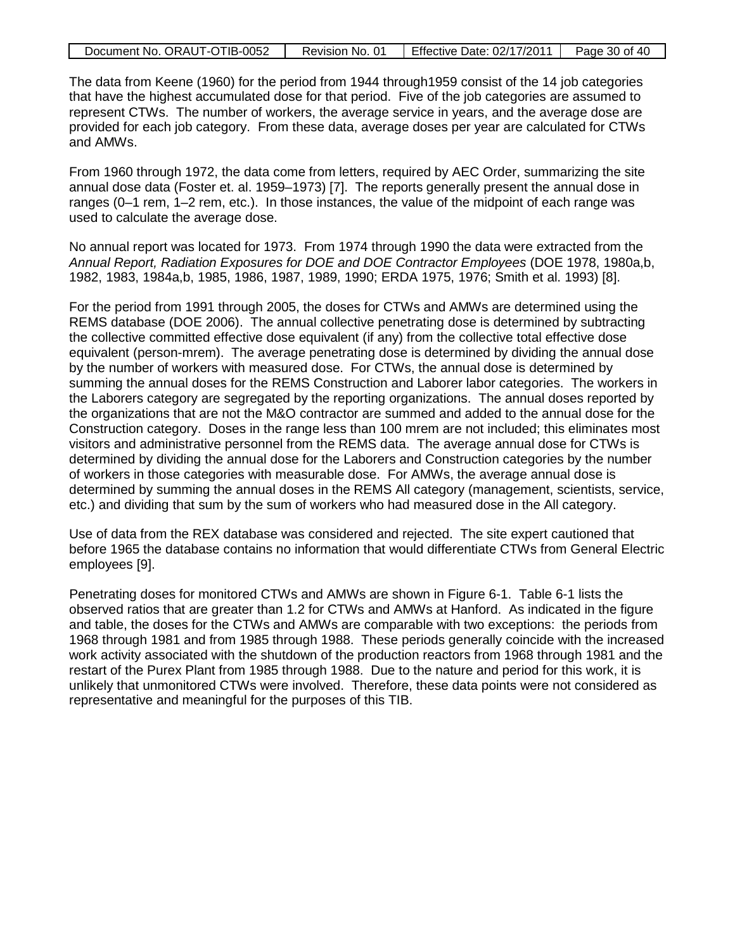| Document No. ORAUT-OTIB-0052 | Revision No. 01 | Effective Date: 02/17/2011 | Page 30 of 40 |
|------------------------------|-----------------|----------------------------|---------------|
|------------------------------|-----------------|----------------------------|---------------|

The data from Keene (1960) for the period from 1944 through1959 consist of the 14 job categories that have the highest accumulated dose for that period. Five of the job categories are assumed to represent CTWs. The number of workers, the average service in years, and the average dose are provided for each job category. From these data, average doses per year are calculated for CTWs and AMWs.

From 1960 through 1972, the data come from letters, required by AEC Order, summarizing the site annual dose data (Foster et. al. 1959–1973) [7]. The reports generally present the annual dose in ranges (0–1 rem, 1–2 rem, etc.). In those instances, the value of the midpoint of each range was used to calculate the average dose.

No annual report was located for 1973. From 1974 through 1990 the data were extracted from the *Annual Report, Radiation Exposures for DOE and DOE Contractor Employees* (DOE 1978, 1980a,b, 1982, 1983, 1984a,b, 1985, 1986, 1987, 1989, 1990; ERDA 1975, 1976; Smith et al. 1993) [8].

For the period from 1991 through 2005, the doses for CTWs and AMWs are determined using the REMS database (DOE 2006). The annual collective penetrating dose is determined by subtracting the collective committed effective dose equivalent (if any) from the collective total effective dose equivalent (person-mrem). The average penetrating dose is determined by dividing the annual dose by the number of workers with measured dose. For CTWs, the annual dose is determined by summing the annual doses for the REMS Construction and Laborer labor categories. The workers in the Laborers category are segregated by the reporting organizations. The annual doses reported by the organizations that are not the M&O contractor are summed and added to the annual dose for the Construction category. Doses in the range less than 100 mrem are not included; this eliminates most visitors and administrative personnel from the REMS data. The average annual dose for CTWs is determined by dividing the annual dose for the Laborers and Construction categories by the number of workers in those categories with measurable dose. For AMWs, the average annual dose is determined by summing the annual doses in the REMS All category (management, scientists, service, etc.) and dividing that sum by the sum of workers who had measured dose in the All category.

Use of data from the REX database was considered and rejected. The site expert cautioned that before 1965 the database contains no information that would differentiate CTWs from General Electric employees [9].

Penetrating doses for monitored CTWs and AMWs are shown in Figure 6-1. Table 6-1 lists the observed ratios that are greater than 1.2 for CTWs and AMWs at Hanford. As indicated in the figure and table, the doses for the CTWs and AMWs are comparable with two exceptions: the periods from 1968 through 1981 and from 1985 through 1988. These periods generally coincide with the increased work activity associated with the shutdown of the production reactors from 1968 through 1981 and the restart of the Purex Plant from 1985 through 1988. Due to the nature and period for this work, it is unlikely that unmonitored CTWs were involved. Therefore, these data points were not considered as representative and meaningful for the purposes of this TIB.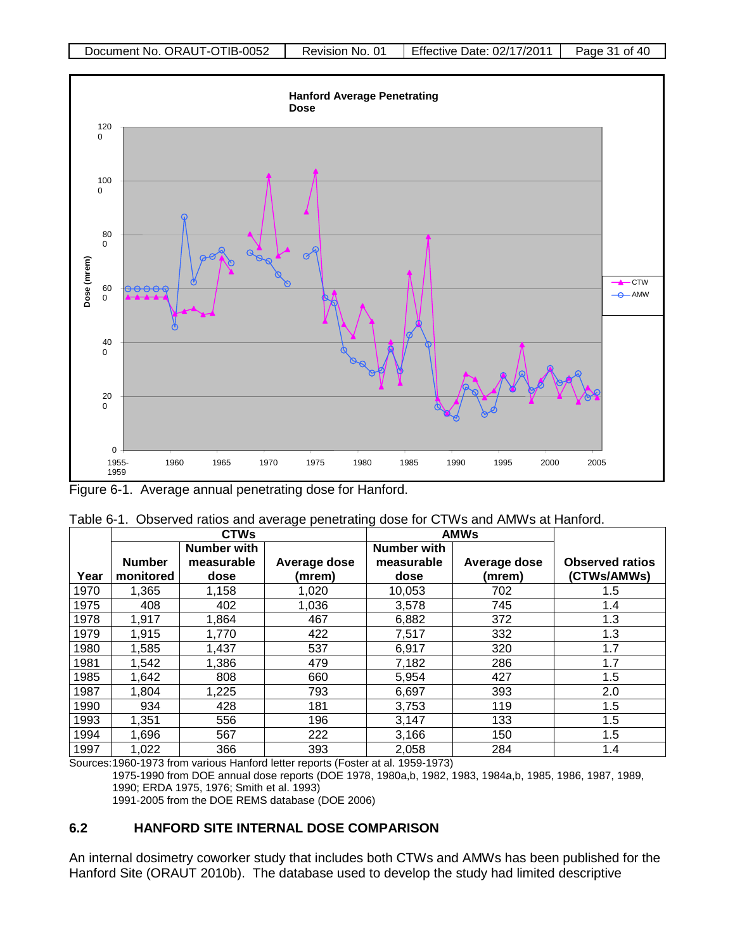

Figure 6-1. Average annual penetrating dose for Hanford.

|      | rapid of it. Observed ratios and avoidge periodating dose for O i vito and ritirivio at indifferent. |                                   |                        |                                   |                        |                                       |  |  |
|------|------------------------------------------------------------------------------------------------------|-----------------------------------|------------------------|-----------------------------------|------------------------|---------------------------------------|--|--|
|      | <b>AMWs</b><br><b>CTWs</b>                                                                           |                                   |                        |                                   |                        |                                       |  |  |
| Year | <b>Number</b><br>monitored                                                                           | Number with<br>measurable<br>dose | Average dose<br>(mrem) | Number with<br>measurable<br>dose | Average dose<br>(mrem) | <b>Observed ratios</b><br>(CTWs/AMWs) |  |  |
| 1970 | 1,365                                                                                                | 1.158                             | 1,020                  | 10,053                            | 702                    | 1.5                                   |  |  |
| 1975 | 408                                                                                                  | 402                               | 1,036                  | 3,578                             | 745                    | 1.4                                   |  |  |
| 1978 | 1,917                                                                                                | 1,864                             | 467                    | 6,882                             | 372                    | 1.3                                   |  |  |
| 1979 | 1,915                                                                                                | 1,770                             | 422                    | 7,517                             | 332                    | 1.3                                   |  |  |
| 1980 | 1,585                                                                                                | 1,437                             | 537                    | 6,917                             | 320                    | 1.7                                   |  |  |
| 1981 | 1,542                                                                                                | 1,386                             | 479                    | 7,182                             | 286                    | 1.7                                   |  |  |
| 1985 | 1,642                                                                                                | 808                               | 660                    | 5,954                             | 427                    | 1.5                                   |  |  |
| 1987 | 1,804                                                                                                | 1,225                             | 793                    | 6,697                             | 393                    | 2.0                                   |  |  |
| 1990 | 934                                                                                                  | 428                               | 181                    | 3,753                             | 119                    | 1.5                                   |  |  |
| 1993 | 1,351                                                                                                | 556                               | 196                    | 3,147                             | 133                    | 1.5                                   |  |  |
| 1994 | 1,696                                                                                                | 567                               | 222                    | 3,166                             | 150                    | 1.5                                   |  |  |
| 1997 | 1,022                                                                                                | 366                               | 393                    | 2,058                             | 284                    | 1.4                                   |  |  |

| Table 6-1. Observed ratios and average penetrating dose for CTWs and AMWs at Hanford. |
|---------------------------------------------------------------------------------------|
|---------------------------------------------------------------------------------------|

Sources:1960-1973 from various Hanford letter reports (Foster at al. 1959-1973)

1975-1990 from DOE annual dose reports (DOE 1978, 1980a,b, 1982, 1983, 1984a,b, 1985, 1986, 1987, 1989, 1990; ERDA 1975, 1976; Smith et al. 1993)

1991-2005 from the DOE REMS database (DOE 2006)

#### **6.2 HANFORD SITE INTERNAL DOSE COMPARISON**

An internal dosimetry coworker study that includes both CTWs and AMWs has been published for the Hanford Site (ORAUT 2010b). The database used to develop the study had limited descriptive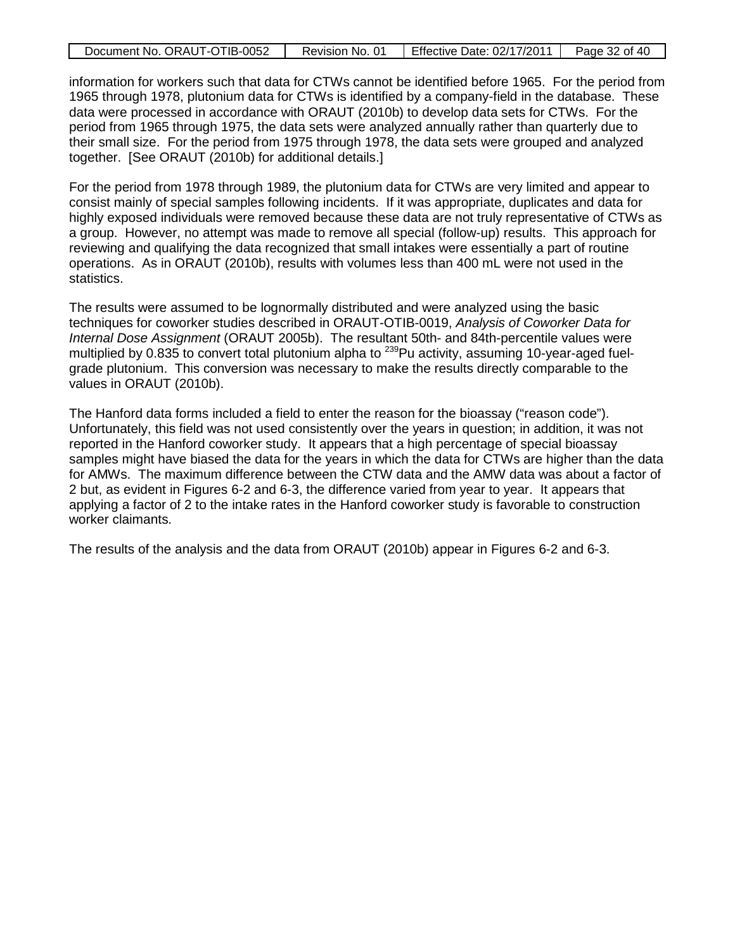| Document No. ORAUT-OTIB-0052 | Revision No. 01 | <b>Effective Date: 02/17/2011</b> | Page 32 of 40 |
|------------------------------|-----------------|-----------------------------------|---------------|
|                              |                 |                                   |               |

information for workers such that data for CTWs cannot be identified before 1965. For the period from 1965 through 1978, plutonium data for CTWs is identified by a company-field in the database. These data were processed in accordance with ORAUT (2010b) to develop data sets for CTWs. For the period from 1965 through 1975, the data sets were analyzed annually rather than quarterly due to their small size. For the period from 1975 through 1978, the data sets were grouped and analyzed together. [See ORAUT (2010b) for additional details.]

For the period from 1978 through 1989, the plutonium data for CTWs are very limited and appear to consist mainly of special samples following incidents. If it was appropriate, duplicates and data for highly exposed individuals were removed because these data are not truly representative of CTWs as a group. However, no attempt was made to remove all special (follow-up) results. This approach for reviewing and qualifying the data recognized that small intakes were essentially a part of routine operations. As in ORAUT (2010b), results with volumes less than 400 mL were not used in the statistics.

The results were assumed to be lognormally distributed and were analyzed using the basic techniques for coworker studies described in ORAUT-OTIB-0019, *Analysis of Coworker Data for Internal Dose Assignment* (ORAUT 2005b). The resultant 50th- and 84th-percentile values were multiplied by 0.835 to convert total plutonium alpha to <sup>239</sup>Pu activity, assuming 10-year-aged fuelgrade plutonium. This conversion was necessary to make the results directly comparable to the values in ORAUT (2010b).

The Hanford data forms included a field to enter the reason for the bioassay ("reason code"). Unfortunately, this field was not used consistently over the years in question; in addition, it was not reported in the Hanford coworker study. It appears that a high percentage of special bioassay samples might have biased the data for the years in which the data for CTWs are higher than the data for AMWs. The maximum difference between the CTW data and the AMW data was about a factor of 2 but, as evident in Figures 6-2 and 6-3, the difference varied from year to year. It appears that applying a factor of 2 to the intake rates in the Hanford coworker study is favorable to construction worker claimants.

The results of the analysis and the data from ORAUT (2010b) appear in Figures 6-2 and 6-3.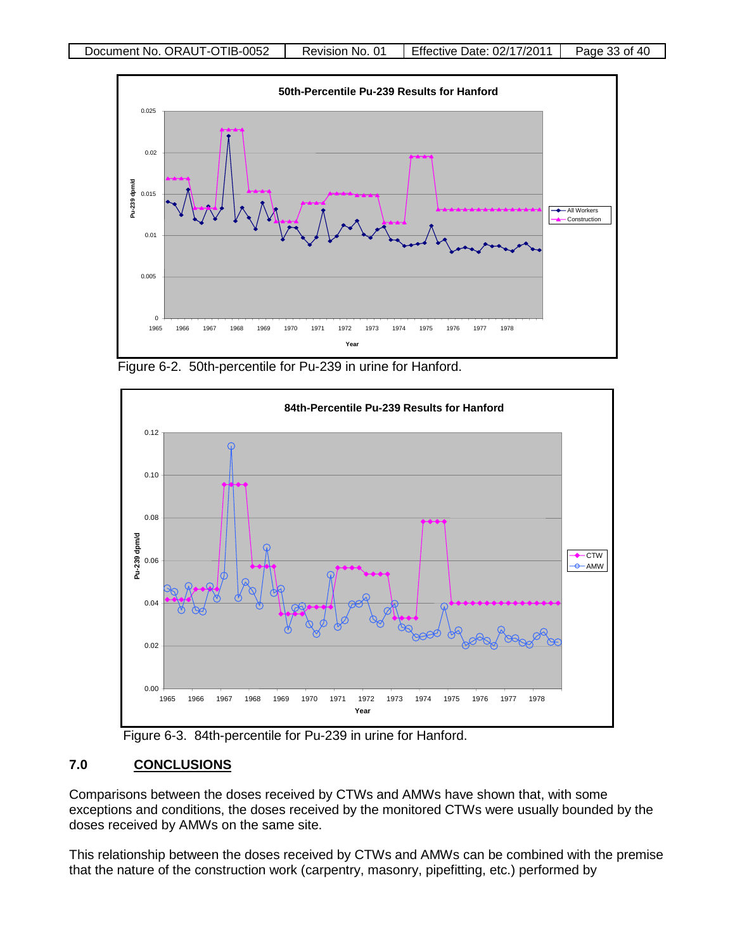

Figure 6-2. 50th-percentile for Pu-239 in urine for Hanford.



Figure 6-3. 84th-percentile for Pu-239 in urine for Hanford.

#### **7.0 CONCLUSIONS**

Comparisons between the doses received by CTWs and AMWs have shown that, with some exceptions and conditions, the doses received by the monitored CTWs were usually bounded by the doses received by AMWs on the same site.

This relationship between the doses received by CTWs and AMWs can be combined with the premise that the nature of the construction work (carpentry, masonry, pipefitting, etc.) performed by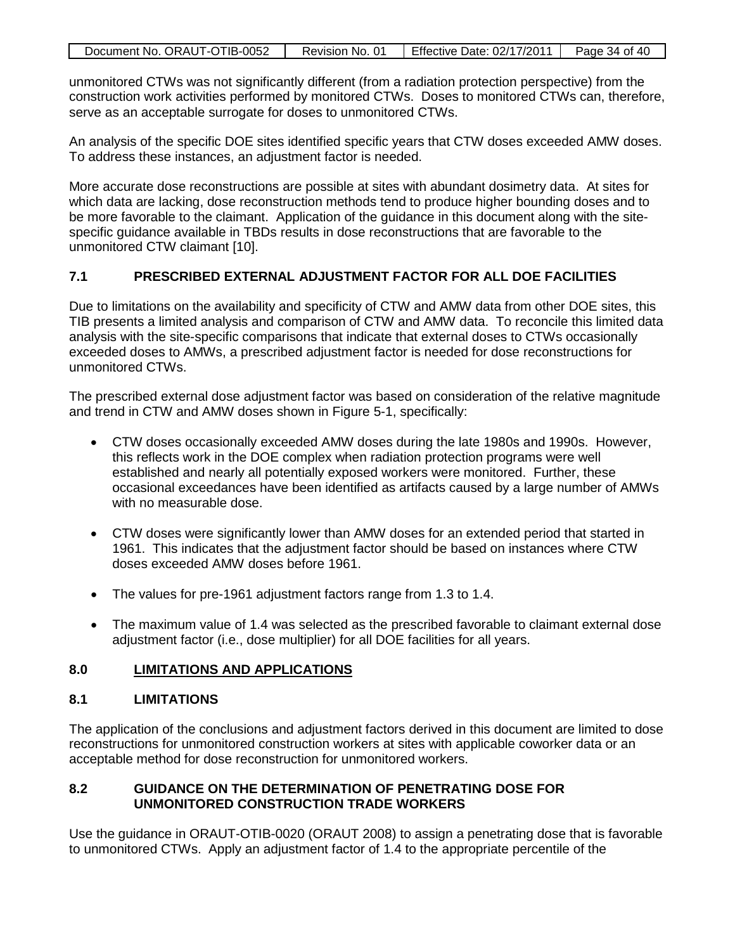| Document No. ORAUT-OTIB-0052 | Revision No. 01 | Effective Date: 02/17/2011 | Page 34 of 40 |
|------------------------------|-----------------|----------------------------|---------------|

unmonitored CTWs was not significantly different (from a radiation protection perspective) from the construction work activities performed by monitored CTWs. Doses to monitored CTWs can, therefore, serve as an acceptable surrogate for doses to unmonitored CTWs.

An analysis of the specific DOE sites identified specific years that CTW doses exceeded AMW doses. To address these instances, an adjustment factor is needed.

More accurate dose reconstructions are possible at sites with abundant dosimetry data. At sites for which data are lacking, dose reconstruction methods tend to produce higher bounding doses and to be more favorable to the claimant. Application of the guidance in this document along with the sitespecific guidance available in TBDs results in dose reconstructions that are favorable to the unmonitored CTW claimant [10].

# **7.1 PRESCRIBED EXTERNAL ADJUSTMENT FACTOR FOR ALL DOE FACILITIES**

Due to limitations on the availability and specificity of CTW and AMW data from other DOE sites, this TIB presents a limited analysis and comparison of CTW and AMW data. To reconcile this limited data analysis with the site-specific comparisons that indicate that external doses to CTWs occasionally exceeded doses to AMWs, a prescribed adjustment factor is needed for dose reconstructions for unmonitored CTWs.

The prescribed external dose adjustment factor was based on consideration of the relative magnitude and trend in CTW and AMW doses shown in Figure 5-1, specifically:

- CTW doses occasionally exceeded AMW doses during the late 1980s and 1990s. However, this reflects work in the DOE complex when radiation protection programs were well established and nearly all potentially exposed workers were monitored. Further, these occasional exceedances have been identified as artifacts caused by a large number of AMWs with no measurable dose.
- CTW doses were significantly lower than AMW doses for an extended period that started in 1961. This indicates that the adjustment factor should be based on instances where CTW doses exceeded AMW doses before 1961.
- The values for pre-1961 adjustment factors range from 1.3 to 1.4.
- The maximum value of 1.4 was selected as the prescribed favorable to claimant external dose adjustment factor (i.e., dose multiplier) for all DOE facilities for all years.

#### **8.0 LIMITATIONS AND APPLICATIONS**

# **8.1 LIMITATIONS**

The application of the conclusions and adjustment factors derived in this document are limited to dose reconstructions for unmonitored construction workers at sites with applicable coworker data or an acceptable method for dose reconstruction for unmonitored workers.

# **8.2 GUIDANCE ON THE DETERMINATION OF PENETRATING DOSE FOR UNMONITORED CONSTRUCTION TRADE WORKERS**

Use the guidance in ORAUT-OTIB-0020 (ORAUT 2008) to assign a penetrating dose that is favorable to unmonitored CTWs. Apply an adjustment factor of 1.4 to the appropriate percentile of the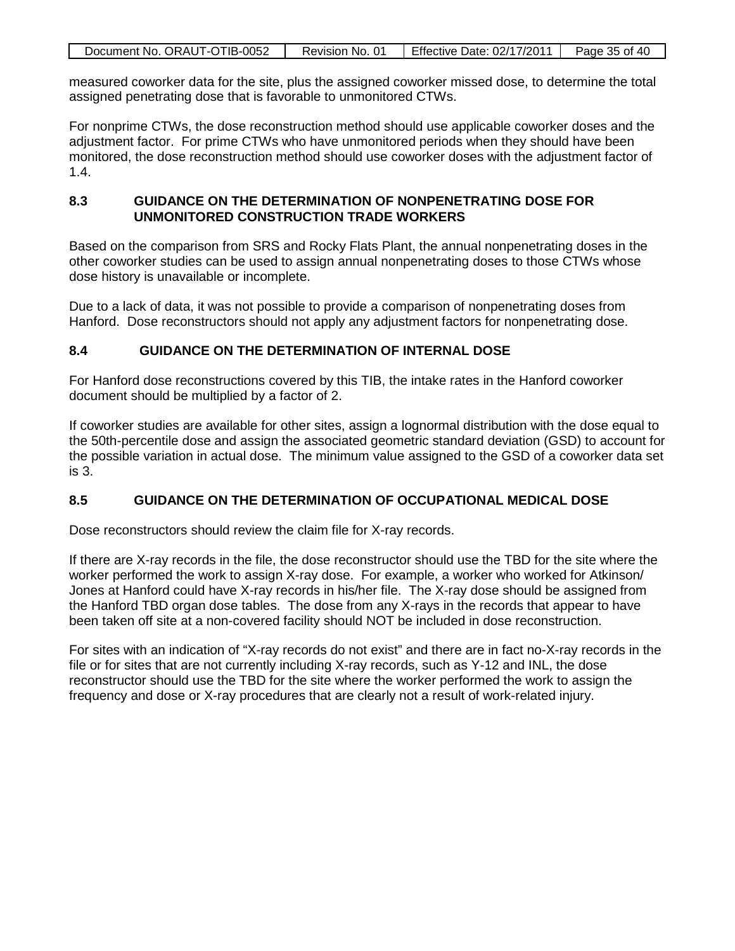| Document No. ORAUT-OTIB-0052 | Revision No. 01 | Effective Date: 02/17/2011 | Page 35 of 40 |
|------------------------------|-----------------|----------------------------|---------------|

measured coworker data for the site, plus the assigned coworker missed dose, to determine the total assigned penetrating dose that is favorable to unmonitored CTWs.

For nonprime CTWs, the dose reconstruction method should use applicable coworker doses and the adjustment factor. For prime CTWs who have unmonitored periods when they should have been monitored, the dose reconstruction method should use coworker doses with the adjustment factor of 1.4.

### **8.3 GUIDANCE ON THE DETERMINATION OF NONPENETRATING DOSE FOR UNMONITORED CONSTRUCTION TRADE WORKERS**

Based on the comparison from SRS and Rocky Flats Plant, the annual nonpenetrating doses in the other coworker studies can be used to assign annual nonpenetrating doses to those CTWs whose dose history is unavailable or incomplete.

Due to a lack of data, it was not possible to provide a comparison of nonpenetrating doses from Hanford. Dose reconstructors should not apply any adjustment factors for nonpenetrating dose.

### **8.4 GUIDANCE ON THE DETERMINATION OF INTERNAL DOSE**

For Hanford dose reconstructions covered by this TIB, the intake rates in the Hanford coworker document should be multiplied by a factor of 2.

If coworker studies are available for other sites, assign a lognormal distribution with the dose equal to the 50th-percentile dose and assign the associated geometric standard deviation (GSD) to account for the possible variation in actual dose. The minimum value assigned to the GSD of a coworker data set is 3.

# **8.5 GUIDANCE ON THE DETERMINATION OF OCCUPATIONAL MEDICAL DOSE**

Dose reconstructors should review the claim file for X-ray records.

If there are X-ray records in the file, the dose reconstructor should use the TBD for the site where the worker performed the work to assign X-ray dose. For example, a worker who worked for Atkinson/ Jones at Hanford could have X-ray records in his/her file. The X-ray dose should be assigned from the Hanford TBD organ dose tables. The dose from any X-rays in the records that appear to have been taken off site at a non-covered facility should NOT be included in dose reconstruction.

For sites with an indication of "X-ray records do not exist" and there are in fact no-X-ray records in the file or for sites that are not currently including X-ray records, such as Y-12 and INL, the dose reconstructor should use the TBD for the site where the worker performed the work to assign the frequency and dose or X-ray procedures that are clearly not a result of work-related injury.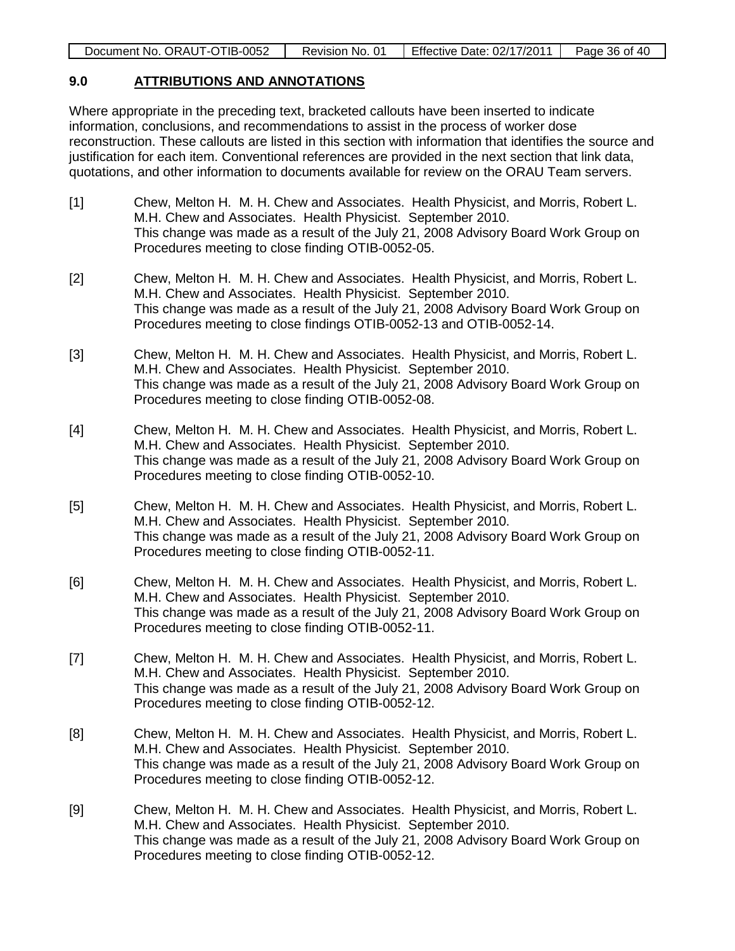| Effective Date: 02/17/2011<br>Document No. ORAUT-OTIB-0052<br>Page 36 of 40<br>Revision No. 01 |
|------------------------------------------------------------------------------------------------|
|------------------------------------------------------------------------------------------------|

#### **9.0 ATTRIBUTIONS AND ANNOTATIONS**

Where appropriate in the preceding text, bracketed callouts have been inserted to indicate information, conclusions, and recommendations to assist in the process of worker dose reconstruction. These callouts are listed in this section with information that identifies the source and justification for each item. Conventional references are provided in the next section that link data, quotations, and other information to documents available for review on the ORAU Team servers.

- [1] Chew, Melton H. M. H. Chew and Associates. Health Physicist, and Morris, Robert L. M.H. Chew and Associates. Health Physicist. September 2010. This change was made as a result of the July 21, 2008 Advisory Board Work Group on Procedures meeting to close finding OTIB-0052-05.
- [2] Chew, Melton H. M. H. Chew and Associates. Health Physicist, and Morris, Robert L. M.H. Chew and Associates. Health Physicist. September 2010. This change was made as a result of the July 21, 2008 Advisory Board Work Group on Procedures meeting to close findings OTIB-0052-13 and OTIB-0052-14.
- [3] Chew, Melton H. M. H. Chew and Associates. Health Physicist, and Morris, Robert L. M.H. Chew and Associates. Health Physicist. September 2010. This change was made as a result of the July 21, 2008 Advisory Board Work Group on Procedures meeting to close finding OTIB-0052-08.
- [4] Chew, Melton H. M. H. Chew and Associates. Health Physicist, and Morris, Robert L. M.H. Chew and Associates. Health Physicist. September 2010. This change was made as a result of the July 21, 2008 Advisory Board Work Group on Procedures meeting to close finding OTIB-0052-10.
- [5] Chew, Melton H. M. H. Chew and Associates. Health Physicist, and Morris, Robert L. M.H. Chew and Associates. Health Physicist. September 2010. This change was made as a result of the July 21, 2008 Advisory Board Work Group on Procedures meeting to close finding OTIB-0052-11.
- [6] Chew, Melton H. M. H. Chew and Associates. Health Physicist, and Morris, Robert L. M.H. Chew and Associates. Health Physicist. September 2010. This change was made as a result of the July 21, 2008 Advisory Board Work Group on Procedures meeting to close finding OTIB-0052-11.
- [7] Chew, Melton H. M. H. Chew and Associates. Health Physicist, and Morris, Robert L. M.H. Chew and Associates. Health Physicist. September 2010. This change was made as a result of the July 21, 2008 Advisory Board Work Group on Procedures meeting to close finding OTIB-0052-12.
- [8] Chew, Melton H. M. H. Chew and Associates. Health Physicist, and Morris, Robert L. M.H. Chew and Associates. Health Physicist. September 2010. This change was made as a result of the July 21, 2008 Advisory Board Work Group on Procedures meeting to close finding OTIB-0052-12.
- [9] Chew, Melton H. M. H. Chew and Associates. Health Physicist, and Morris, Robert L. M.H. Chew and Associates. Health Physicist. September 2010. This change was made as a result of the July 21, 2008 Advisory Board Work Group on Procedures meeting to close finding OTIB-0052-12.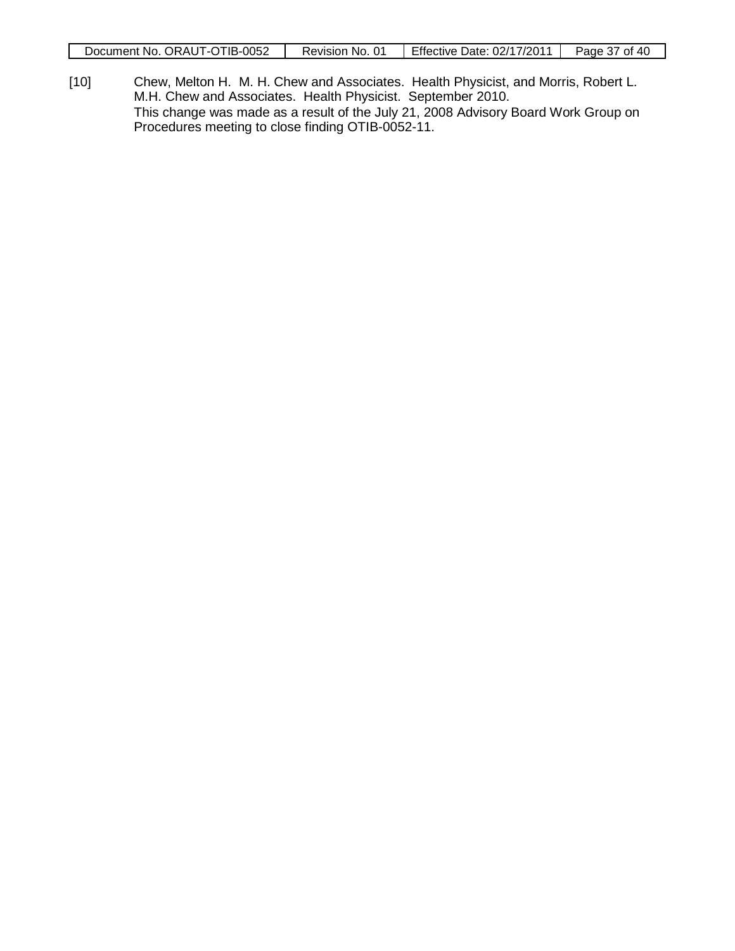| Document No. ORAUT-OTIB-0052 | Revision No. 01 | Effective Date: 02/17/2011 | Page 37 of 40 |
|------------------------------|-----------------|----------------------------|---------------|

[10] Chew, Melton H. M. H. Chew and Associates. Health Physicist, and Morris, Robert L. M.H. Chew and Associates. Health Physicist. September 2010. This change was made as a result of the July 21, 2008 Advisory Board Work Group on Procedures meeting to close finding OTIB-0052-11.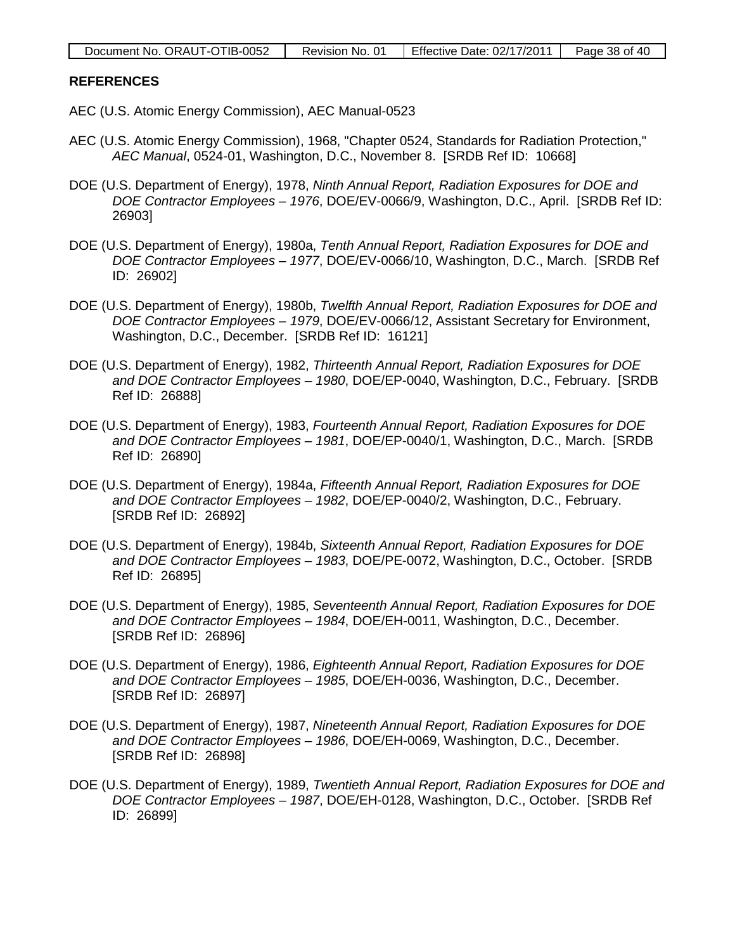| Document No. ORAUT-OTIB-0052 | Revision No. 01 | Effective Date: 02/17/2011 | Page 38 of 40 |
|------------------------------|-----------------|----------------------------|---------------|
|------------------------------|-----------------|----------------------------|---------------|

#### **REFERENCES**

- AEC (U.S. Atomic Energy Commission), AEC Manual-0523
- AEC (U.S. Atomic Energy Commission), 1968, "Chapter 0524, Standards for Radiation Protection," *AEC Manual*, 0524-01, Washington, D.C., November 8. [SRDB Ref ID: 10668]
- DOE (U.S. Department of Energy), 1978, *Ninth Annual Report, Radiation Exposures for DOE and DOE Contractor Employees – 1976*, DOE/EV-0066/9, Washington, D.C., April. [SRDB Ref ID: 26903]
- DOE (U.S. Department of Energy), 1980a, *Tenth Annual Report, Radiation Exposures for DOE and DOE Contractor Employees – 1977*, DOE/EV-0066/10, Washington, D.C., March. [SRDB Ref ID: 26902]
- DOE (U.S. Department of Energy), 1980b, *Twelfth Annual Report, Radiation Exposures for DOE and DOE Contractor Employees – 1979*, DOE/EV-0066/12, Assistant Secretary for Environment, Washington, D.C., December. [SRDB Ref ID: 16121]
- DOE (U.S. Department of Energy), 1982, *Thirteenth Annual Report, Radiation Exposures for DOE and DOE Contractor Employees – 1980*, DOE/EP-0040, Washington, D.C., February. [SRDB Ref ID: 26888]
- DOE (U.S. Department of Energy), 1983, *Fourteenth Annual Report, Radiation Exposures for DOE and DOE Contractor Employees – 1981*, DOE/EP-0040/1, Washington, D.C., March. [SRDB Ref ID: 26890]
- DOE (U.S. Department of Energy), 1984a, *Fifteenth Annual Report, Radiation Exposures for DOE and DOE Contractor Employees – 1982*, DOE/EP-0040/2, Washington, D.C., February. [SRDB Ref ID: 26892]
- DOE (U.S. Department of Energy), 1984b, *Sixteenth Annual Report, Radiation Exposures for DOE and DOE Contractor Employees – 1983*, DOE/PE-0072, Washington, D.C., October. [SRDB Ref ID: 26895]
- DOE (U.S. Department of Energy), 1985, *Seventeenth Annual Report, Radiation Exposures for DOE and DOE Contractor Employees – 1984*, DOE/EH-0011, Washington, D.C., December. [SRDB Ref ID: 26896]
- DOE (U.S. Department of Energy), 1986, *Eighteenth Annual Report, Radiation Exposures for DOE and DOE Contractor Employees – 1985*, DOE/EH-0036, Washington, D.C., December. [SRDB Ref ID: 26897]
- DOE (U.S. Department of Energy), 1987, *Nineteenth Annual Report, Radiation Exposures for DOE and DOE Contractor Employees – 1986*, DOE/EH-0069, Washington, D.C., December. [SRDB Ref ID: 26898]
- DOE (U.S. Department of Energy), 1989, *Twentieth Annual Report, Radiation Exposures for DOE and DOE Contractor Employees – 1987*, DOE/EH-0128, Washington, D.C., October. [SRDB Ref ID: 26899]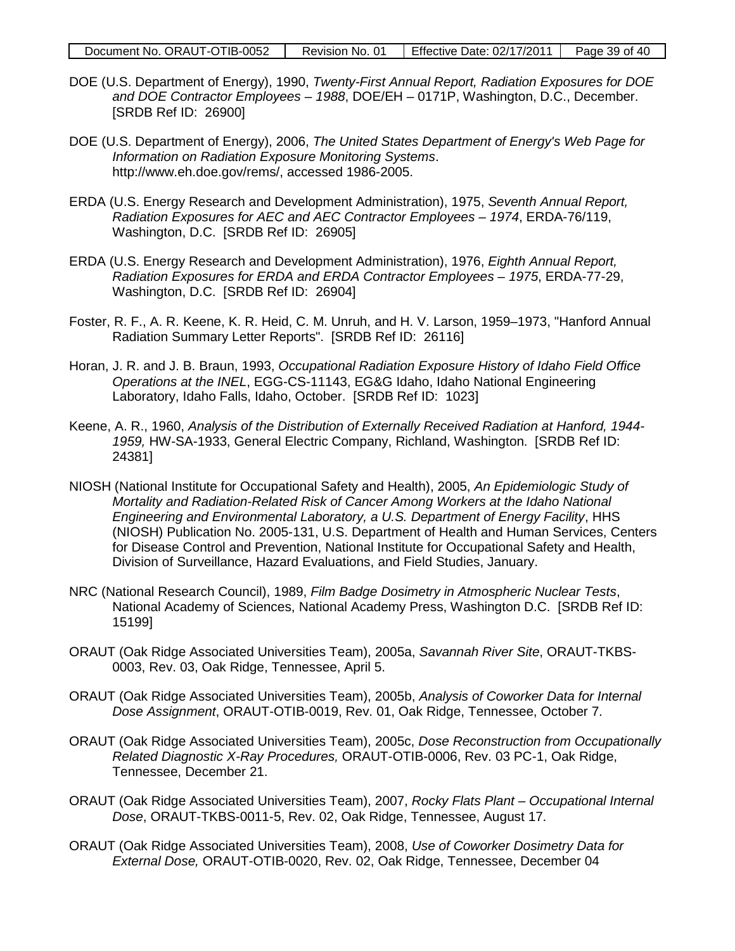| Document No. ORAUT-OTIB-0052 | Revision No. 01 | Effective Date: 02/17/2011 | Page 39 of 40 |
|------------------------------|-----------------|----------------------------|---------------|
|------------------------------|-----------------|----------------------------|---------------|

- DOE (U.S. Department of Energy), 1990, *Twenty-First Annual Report, Radiation Exposures for DOE and DOE Contractor Employees – 1988*, DOE/EH – 0171P, Washington, D.C., December. [SRDB Ref ID: 26900]
- DOE (U.S. Department of Energy), 2006, *The United States Department of Energy's Web Page for Information on Radiation Exposure Monitoring Systems*. http://www.eh.doe.gov/rems/, accessed 1986-2005.
- ERDA (U.S. Energy Research and Development Administration), 1975, *Seventh Annual Report, Radiation Exposures for AEC and AEC Contractor Employees – 1974*, ERDA-76/119, Washington, D.C. [SRDB Ref ID: 26905]
- ERDA (U.S. Energy Research and Development Administration), 1976, *Eighth Annual Report, Radiation Exposures for ERDA and ERDA Contractor Employees – 1975*, ERDA-77-29, Washington, D.C. [SRDB Ref ID: 26904]
- Foster, R. F., A. R. Keene, K. R. Heid, C. M. Unruh, and H. V. Larson, 1959–1973, "Hanford Annual Radiation Summary Letter Reports". [SRDB Ref ID: 26116]
- Horan, J. R. and J. B. Braun, 1993, *Occupational Radiation Exposure History of Idaho Field Office Operations at the INEL*, EGG-CS-11143, EG&G Idaho, Idaho National Engineering Laboratory, Idaho Falls, Idaho, October. [SRDB Ref ID: 1023]
- Keene, A. R., 1960, *Analysis of the Distribution of Externally Received Radiation at Hanford, 1944- 1959,* HW-SA-1933, General Electric Company, Richland, Washington. [SRDB Ref ID: 24381]
- NIOSH (National Institute for Occupational Safety and Health), 2005, *An Epidemiologic Study of Mortality and Radiation-Related Risk of Cancer Among Workers at the Idaho National Engineering and Environmental Laboratory, a U.S. Department of Energy Facility*, HHS (NIOSH) Publication No. 2005-131, U.S. Department of Health and Human Services, Centers for Disease Control and Prevention, National Institute for Occupational Safety and Health, Division of Surveillance, Hazard Evaluations, and Field Studies, January.
- NRC (National Research Council), 1989, *Film Badge Dosimetry in Atmospheric Nuclear Tests*, National Academy of Sciences, National Academy Press, Washington D.C. [SRDB Ref ID: 15199]
- ORAUT (Oak Ridge Associated Universities Team), 2005a, *Savannah River Site*, ORAUT-TKBS-0003, Rev. 03, Oak Ridge, Tennessee, April 5.
- ORAUT (Oak Ridge Associated Universities Team), 2005b, *Analysis of Coworker Data for Internal Dose Assignment*, ORAUT-OTIB-0019, Rev. 01, Oak Ridge, Tennessee, October 7.
- ORAUT (Oak Ridge Associated Universities Team), 2005c, *Dose Reconstruction from Occupationally Related Diagnostic X-Ray Procedures,* ORAUT-OTIB-0006, Rev. 03 PC-1, Oak Ridge, Tennessee, December 21.
- ORAUT (Oak Ridge Associated Universities Team), 2007, *Rocky Flats Plant – Occupational Internal Dose*, ORAUT-TKBS-0011-5, Rev. 02, Oak Ridge, Tennessee, August 17.
- ORAUT (Oak Ridge Associated Universities Team), 2008, *Use of Coworker Dosimetry Data for External Dose,* ORAUT-OTIB-0020, Rev. 02, Oak Ridge, Tennessee, December 04